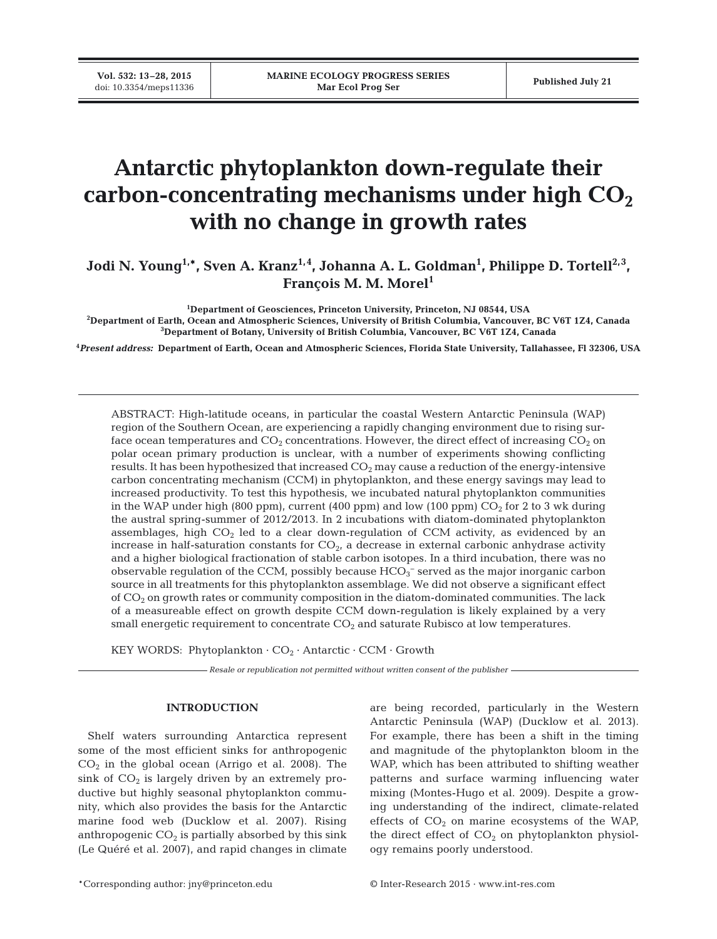**Vol. 532: 13–28, 2015**

# **Antarctic phytoplankton down-regulate their** carbon-concentrating mechanisms under high  $CO<sub>2</sub>$ **with no change in growth rates**

Jodi N. Young<sup>1,\*</sup>, Sven A. Kranz<sup>1,4</sup>, Johanna A. L. Goldman<sup>1</sup>, Philippe D. Tortell<sup>2,3</sup>, **François M. M. Morel1**

**1 Department of Geosciences, Princeton University, Princeton, NJ 08544, USA**

**2 Department of Earth, Ocean and Atmospheric Sciences, University of British Columbia, Vancouver, BC V6T 1Z4, Canada 3 Department of Botany, University of British Columbia, Vancouver, BC V6T 1Z4, Canada**

**4** *Present address:* **Department of Earth, Ocean and Atmospheric Sciences, Florida State University, Tallahassee, Fl 32306, USA**

ABSTRACT: High-latitude oceans, in particular the coastal Western Antarctic Peninsula (WAP) region of the Southern Ocean, are experiencing a rapidly changing environment due to rising surface ocean temperatures and  $CO_2$  concentrations. However, the direct effect of increasing  $CO_2$  on polar ocean primary production is unclear, with a number of experiments showing conflicting results. It has been hypothesized that increased  $CO<sub>2</sub>$  may cause a reduction of the energy-intensive carbon concentrating mechanism (CCM) in phytoplankton, and these energy savings may lead to increased productivity. To test this hypothesis, we incubated natural phytoplankton communities in the WAP under high (800 ppm), current (400 ppm) and low (100 ppm)  $CO<sub>2</sub>$  for 2 to 3 wk during the austral spring-summer of 2012/2013. In 2 incubations with diatom-dominated phytoplankton assemblages, high  $CO<sub>2</sub>$  led to a clear down-regulation of CCM activity, as evidenced by an increase in half-saturation constants for  $CO<sub>2</sub>$ , a decrease in external carbonic anhydrase activity and a higher biological fractionation of stable carbon isotopes. In a third incubation, there was no observable regulation of the CCM, possibly because  $\rm{HCO_3^-}$  served as the major inorganic carbon source in all treatments for this phytoplankton assemblage. We did not observe a significant effect of  $CO<sub>2</sub>$  on growth rates or community composition in the diatom-dominated communities. The lack of a measureable effect on growth despite CCM down-regulation is likely explained by a very small energetic requirement to concentrate  $CO<sub>2</sub>$  and saturate Rubisco at low temperatures.

KEY WORDS: Phytoplankton  $\cdot$  CO<sub>2</sub>  $\cdot$  Antarctic  $\cdot$  CCM  $\cdot$  Growth

*Resale or republication not permitted without written consent of the publisher*

# **INTRODUCTION**

Shelf waters surrounding Antarctica represent some of the most efficient sinks for anthropogenic  $CO<sub>2</sub>$  in the global ocean (Arrigo et al. 2008). The sink of  $CO<sub>2</sub>$  is largely driven by an extremely productive but highly seasonal phytoplankton community, which also provides the basis for the Antarctic marine food web (Ducklow et al. 2007). Rising anthropogenic  $CO<sub>2</sub>$  is partially absorbed by this sink (Le Quéré et al. 2007), and rapid changes in climate

are being recorded, particularly in the Western Antarctic Peninsula (WAP) (Ducklow et al. 2013). For example, there has been a shift in the timing and magnitude of the phytoplankton bloom in the WAP, which has been attributed to shifting weather patterns and surface warming influencing water mixing (Montes-Hugo et al. 2009). Despite a growing understanding of the indirect, climate-related effects of  $CO<sub>2</sub>$  on marine ecosystems of the WAP, the direct effect of  $CO<sub>2</sub>$  on phytoplankton physiology remains poorly understood.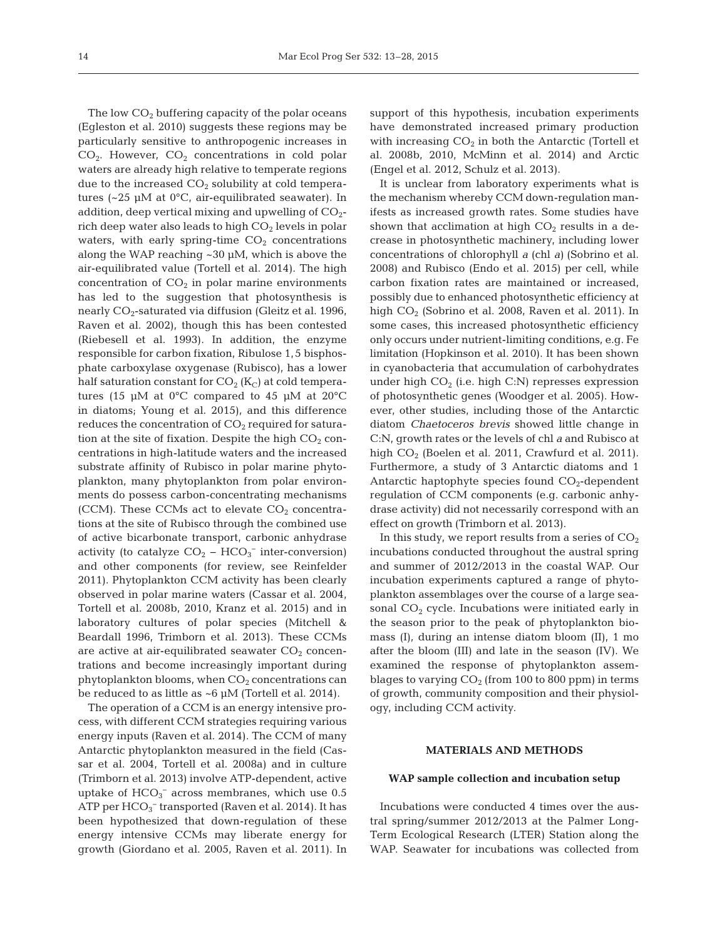The low  $CO<sub>2</sub>$  buffering capacity of the polar oceans (Egleston et al. 2010) suggests these regions may be particularly sensitive to anthropogenic increases in  $CO<sub>2</sub>$ . However,  $CO<sub>2</sub>$  concentrations in cold polar waters are already high relative to temperate regions due to the increased  $CO<sub>2</sub>$  solubility at cold temperatures (~25 µM at 0°C, air-equilibrated seawater). In addition, deep vertical mixing and upwelling of  $CO<sub>2</sub>$ rich deep water also leads to high  $CO<sub>2</sub>$  levels in polar waters, with early spring-time  $CO<sub>2</sub>$  concentrations along the WAP reaching ~30 µM, which is above the air-equilibrated value (Tortell et al. 2014). The high concentration of  $CO<sub>2</sub>$  in polar marine environments has led to the suggestion that photosynthesis is nearly  $CO_2$ -saturated via diffusion (Gleitz et al. 1996, Raven et al. 2002), though this has been contested (Riebesell et al. 1993). In addition, the enzyme responsible for carbon fixation, Ribulose 1,5 bisphosphate carboxylase oxygenase (Rubisco), has a lower half saturation constant for  $CO<sub>2</sub>$  (K<sub>C</sub>) at cold temperatures (15 µM at 0°C compared to 45 µM at 20°C in diatoms; Young et al. 2015), and this difference reduces the concentration of  $CO<sub>2</sub>$  required for saturation at the site of fixation. Despite the high  $CO<sub>2</sub>$  concentrations in high-latitude waters and the increased substrate affinity of Rubisco in polar marine phytoplankton, many phytoplankton from polar environments do possess carbon-concentrating mechanisms (CCM). These CCMs act to elevate  $CO<sub>2</sub>$  concentrations at the site of Rubisco through the combined use of active bicarbonate transport, carbonic anhydrase activity (to catalyze  $CO_2$  –  $HCO_3^-$  inter-conversion) and other components (for review, see Reinfelder 2011). Phytoplankton CCM activity has been clearly observed in polar marine waters (Cassar et al. 2004, Tortell et al. 2008b, 2010, Kranz et al. 2015) and in laboratory cultures of polar species (Mitchell & Beardall 1996, Trimborn et al. 2013). These CCMs are active at air-equilibrated seawater  $CO<sub>2</sub>$  concentrations and become increasingly important during phytoplankton blooms, when  $CO<sub>2</sub>$  concentrations can be reduced to as little as  $~6 \mu M$  (Tortell et al. 2014).

The operation of a CCM is an energy intensive process, with different CCM strategies requiring various energy inputs (Raven et al. 2014). The CCM of many Antarctic phytoplankton measured in the field (Cassar et al. 2004, Tortell et al. 2008a) and in culture (Trimborn et al. 2013) involve ATP-dependent, active uptake of  $HCO_3^-$  across membranes, which use 0.5 ATP per HCO<sub>3</sub><sup>-</sup> transported (Raven et al. 2014). It has been hypothesized that down-regulation of these energy intensive CCMs may liberate energy for growth (Giordano et al. 2005, Raven et al. 2011). In support of this hypothesis, incubation experiments have demonstrated increased primary production with increasing  $CO<sub>2</sub>$  in both the Antarctic (Tortell et al. 2008b, 2010, McMinn et al. 2014) and Arctic (Engel et al. 2012, Schulz et al. 2013).

It is unclear from laboratory experiments what is the mechanism whereby CCM down-regulation manifests as increased growth rates. Some studies have shown that acclimation at high  $CO<sub>2</sub>$  results in a decrease in photosynthetic machinery, including lower concentrations of chlorophyll *a* (chl *a)* (Sobrino et al. 2008) and Rubisco (Endo et al. 2015) per cell, while carbon fixation rates are maintained or increased, possibly due to enhanced photosynthetic efficiency at high  $CO<sub>2</sub>$  (Sobrino et al. 2008, Raven et al. 2011). In some cases, this increased photosynthetic efficiency only occurs under nutrient-limiting conditions, e.g. Fe limitation (Hopkinson et al. 2010). It has been shown in cyanobacteria that accumulation of carbohydrates under high CO<sub>2</sub> (i.e. high C:N) represses expression of photosynthetic genes (Woodger et al. 2005). However, other studies, including those of the Antarctic diatom *Chaetoceros brevis* showed little change in C:N, growth rates or the levels of chl *a* and Rubisco at high CO<sub>2</sub> (Boelen et al. 2011, Crawfurd et al. 2011). Furthermore, a study of 3 Antarctic diatoms and 1 Antarctic haptophyte species found  $CO<sub>2</sub>$ -dependent regulation of CCM components (e.g. carbonic anhydrase activity) did not necessarily correspond with an effect on growth (Trimborn et al. 2013).

In this study, we report results from a series of  $CO<sub>2</sub>$ incubations conducted throughout the austral spring and summer of 2012/2013 in the coastal WAP. Our incubation experiments captured a range of phytoplankton assemblages over the course of a large seasonal  $CO<sub>2</sub>$  cycle. Incubations were initiated early in the season prior to the peak of phytoplankton biomass (I), during an intense diatom bloom (II), 1 mo after the bloom (III) and late in the season (IV). We examined the response of phytoplankton assemblages to varying  $CO<sub>2</sub>$  (from 100 to 800 ppm) in terms of growth, community composition and their physiology, including CCM activity.

# **MATERIALS AND METHODS**

# **WAP sample collection and incubation setup**

Incubations were conducted 4 times over the austral spring/summer 2012/2013 at the Palmer Long-Term Ecological Research (LTER) Station along the WAP. Seawater for incubations was collected from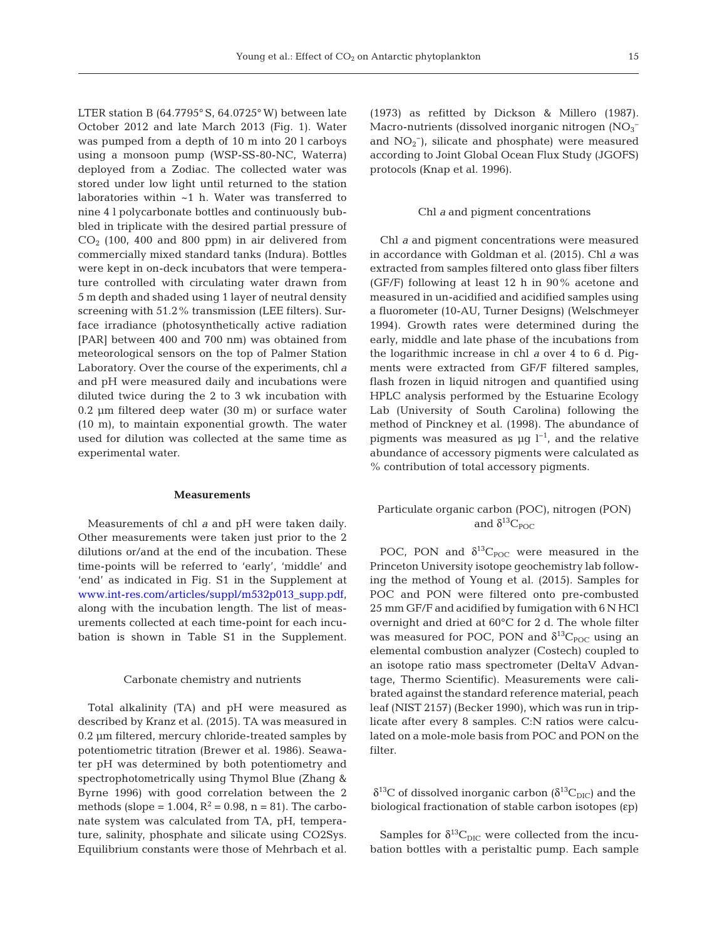LTER station B (64.7795° S, 64.0725° W) between late October 2012 and late March 2013 (Fig. 1). Water was pumped from a depth of 10 m into 20 l carboys using a monsoon pump (WSP-SS-80-NC, Waterra) deployed from a Zodiac. The collected water was stored under low light until returned to the station laboratories within ~1 h. Water was transferred to nine 4 l polycarbonate bottles and continuously bubbled in triplicate with the desired partial pressure of  $CO<sub>2</sub>$  (100, 400 and 800 ppm) in air delivered from commercially mixed standard tanks (Indura). Bottles were kept in on-deck incubators that were temperature controlled with circulating water drawn from 5 m depth and shaded using 1 layer of neutral density screening with 51.2% transmission (LEE filters). Surface irradiance (photosynthetically active radiation [PAR] between 400 and 700 nm) was obtained from meteorological sensors on the top of Palmer Station Laboratory. Over the course of the experiments, chl *a* and pH were measured daily and incubations were diluted twice during the 2 to 3 wk incubation with 0.2 µm filtered deep water (30 m) or surface water (10 m), to maintain exponential growth. The water used for dilution was collected at the same time as experimental water.

# **Measurements**

Measurements of chl *a* and pH were taken daily. Other measurements were taken just prior to the 2 dilutions or/and at the end of the incubation. These time-points will be referred to 'early', 'middle' and 'end' as indicated in Fig. S1 in the Supplement at www.int-res.com/articles/suppl/m532p013\_supp.pdf, along with the incubation length. The list of measurements collected at each time-point for each incubation is shown in Table S1 in the Supplement.

# Carbonate chemistry and nutrients

Total alkalinity (TA) and pH were measured as described by Kranz et al. (2015). TA was measured in 0.2 µm filtered, mercury chloride-treated samples by potentiometric titration (Brewer et al. 1986). Seawater pH was determined by both potentiometry and spectrophotometrically using Thymol Blue (Zhang & Byrne 1996) with good correlation between the 2 methods (slope = 1.004,  $R^2 = 0.98$ , n = 81). The carbonate system was calculated from TA, pH, temperature, salinity, phosphate and silicate using CO2Sys. Equilibrium constants were those of Mehrbach et al. (1973) as refitted by Dickson & Millero (1987). Macro-nutrients (dissolved inorganic nitrogen  $\text{[NO]}_3$ <sup>-</sup> and  $NO<sub>2</sub><sup>-</sup>$ ), silicate and phosphate) were measured according to Joint Global Ocean Flux Study (JGOFS) protocols (Knap et al. 1996).

#### Chl *a* and pigment concentrations

Chl *a* and pigment concentrations were measured in accordance with Goldman et al. (2015). Chl *a* was extracted from samples filtered onto glass fiber filters (GF/F) following at least 12 h in 90% acetone and measured in un-acidified and acidified samples using a fluorometer (10-AU, Turner Designs) (Welschmeyer 1994). Growth rates were determined during the early, middle and late phase of the incubations from the logarithmic increase in chl *a* over 4 to 6 d. Pigments were extracted from GF/F filtered samples, flash frozen in liquid nitrogen and quantified using HPLC analysis performed by the Estuarine Ecology Lab (University of South Carolina) following the method of Pinckney et al. (1998). The abundance of pigments was measured as  $\mu q l^{-1}$ , and the relative abundance of accessory pigments were calculated as % contribution of total accessory pigments.

# Particulate organic carbon (POC), nitrogen (PON) and  $\delta^{13}C_{\text{poc}}$

POC, PON and  $\delta^{13}C_{POC}$  were measured in the Princeton University isotope geochemistry lab following the method of Young et al. (2015). Samples for POC and PON were filtered onto pre-combusted 25 mm GF/F and acidified by fumigation with 6 N HCl overnight and dried at 60°C for 2 d. The whole filter was measured for POC, PON and  $\delta^{13}C_{\text{POC}}$  using an elemental combustion analyzer (Costech) coupled to an isotope ratio mass spectrometer (DeltaV Advantage, Thermo Scientific). Measurements were calibrated against the standard reference material, peach leaf (NIST 2157) (Becker 1990), which was run in triplicate after every 8 samples. C:N ratios were calculated on a mole-mole basis from POC and PON on the  $filtor$ 

 $\delta^{13}$ C of dissolved inorganic carbon ( $\delta^{13}$ C<sub>DIC</sub>) and the biological fractionation of stable carbon isotopes (εp)

Samples for  $\delta^{13}C_{\text{DIC}}$  were collected from the incubation bottles with a peristaltic pump. Each sample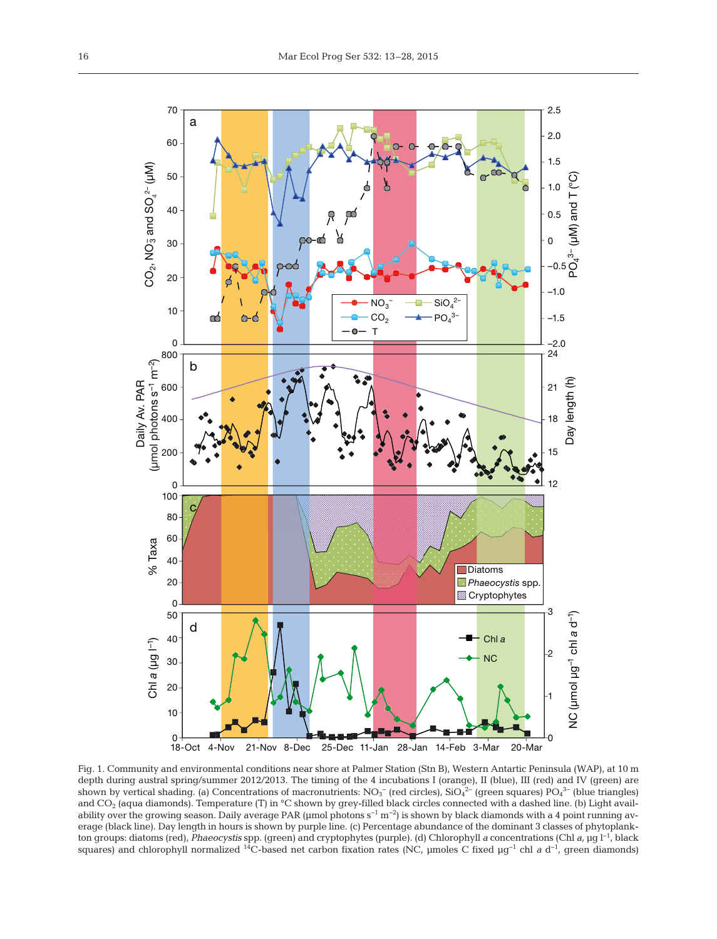

Fig. 1. Community and environmental conditions near shore at Palmer Station (Stn B), Western Antartic Peninsula (WAP), at 10 m depth during austral spring/summer 2012/2013. The timing of the 4 incubations I (orange), II (blue), III (red) and IV (green) are shown by vertical shading. (a) Concentrations of macronutrients:  $NO<sub>3</sub><sup>-</sup>$  (red circles), Si $O<sub>4</sub><sup>2-</sup>$  (green squares) P $O<sub>4</sub><sup>3-</sup>$  (blue triangles) and CO<sub>2</sub> (aqua diamonds). Temperature (T) in °C shown by grey-filled black circles connected with a dashed line. (b) Light availability over the growing season. Daily average PAR (µmol photons s<sup>−1</sup> m<sup>−2</sup>) is shown by black diamonds with a 4 point running average (black line). Day length in hours is shown by purple line. (c) Percentage abundance of the dominant 3 classes of phytoplankton groups: diatoms (red), *Phaeocystis* spp. (green) and cryptophytes (purple). (d) Chlorophyll *a* concentrations (Chl *a,* µg l−1, black squares) and chlorophyll normalized <sup>14</sup>C-based net carbon fixation rates (NC, µmoles C fixed µg<sup>-1</sup> chl *a* d<sup>-1</sup>, green diamonds)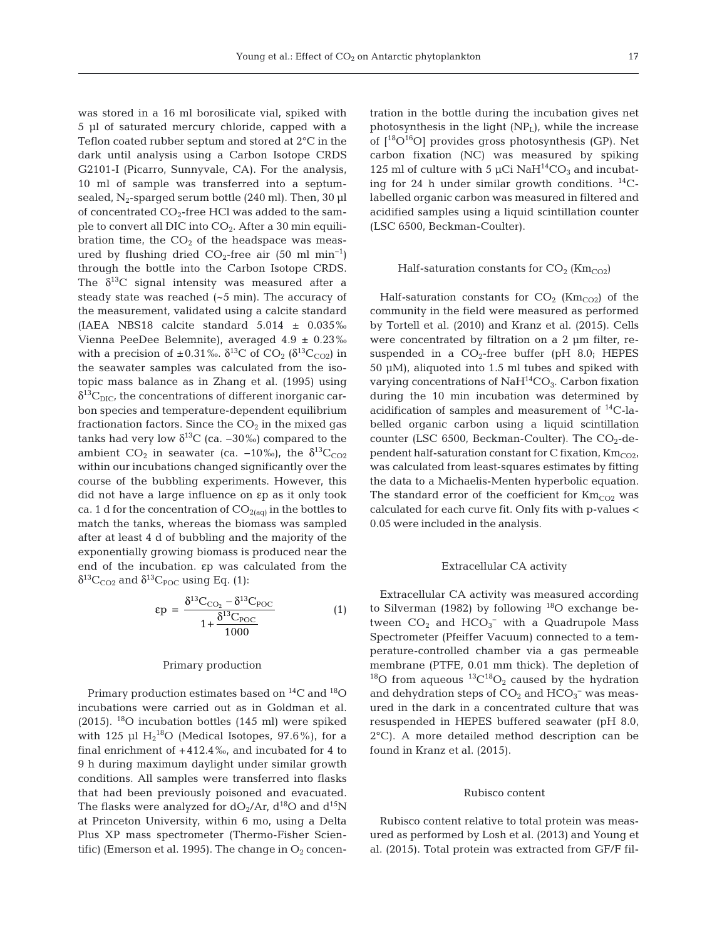was stored in a 16 ml borosilicate vial, spiked with 5 µl of saturated mercury chloride, capped with a Teflon coated rubber septum and stored at 2°C in the dark until analysis using a Carbon Isotope CRDS G2101-I (Picarro, Sunnyvale, CA). For the analysis, 10 ml of sample was transferred into a septumsealed,  $N_2$ -sparged serum bottle (240 ml). Then, 30 µl of concentrated  $CO<sub>2</sub>$ -free HCl was added to the sample to convert all DIC into CO<sub>2</sub>. After a 30 min equilibration time, the  $CO<sub>2</sub>$  of the headspace was measured by flushing dried  $CO_2$ -free air (50 ml min<sup>-1</sup>) through the bottle into the Carbon Isotope CRDS. The  $\delta^{13}$ C signal intensity was measured after a steady state was reached (~5 min). The accuracy of the measurement, validated using a calcite standard (IAEA NBS18 calcite standard  $5.014 \pm 0.035\%$ Vienna PeeDee Belemnite), averaged 4.9 ± 0.23‰ with a precision of  $\pm 0.31\%$ .  $\delta^{13}C$  of CO<sub>2</sub> ( $\delta^{13}C_{CO2}$ ) in the seawater samples was calculated from the isotopic mass balance as in Zhang et al. (1995) using  $\delta^{13}C_{\text{DIC}}$ , the concentrations of different inorganic carbon species and temperature-dependent equilibrium fractionation factors. Since the  $CO<sub>2</sub>$  in the mixed gas tanks had very low  $\delta^{13}$ C (ca. –30‰) compared to the ambient CO<sub>2</sub> in seawater (ca. -10‰), the  $\delta^{13}C_{CO2}$ within our incubations changed significantly over the course of the bubbling experiments. However, this did not have a large influence on εp as it only took ca. 1 d for the concentration of  $CO<sub>2(aq)</sub>$  in the bottles to match the tanks, whereas the biomass was sampled after at least 4 d of bubbling and the majority of the exponentially growing biomass is produced near the end of the incubation. εp was calculated from the  $\delta^{13}C_{CO2}$  and  $\delta^{13}C_{POC}$  using Eq. (1):

$$
\epsilon p = \frac{\delta^{13}C_{\text{CO}_2} - \delta^{13}C_{\text{POC}}}{1 + \frac{\delta^{13}C_{\text{POC}}}{1000}}
$$
(1)

#### Primary production

Primary production estimates based on  ${}^{14}C$  and  ${}^{18}O$ incubations were carried out as in Goldman et al. (2015). 18O incubation bottles (145 ml) were spiked with 125  $\mu$ l H<sub>2</sub><sup>18</sup>O (Medical Isotopes, 97.6%), for a final enrichment of +412.4‰, and incubated for 4 to 9 h during maximum daylight under similar growth conditions. All samples were transferred into flasks that had been previously poisoned and evacuated. The flasks were analyzed for  $dO_2/Ar$ ,  $d^{18}O$  and  $d^{15}N$ at Princeton University, within 6 mo, using a Delta Plus XP mass spectrometer (Thermo-Fisher Scientific) (Emerson et al. 1995). The change in  $O_2$  concentration in the bottle during the incubation gives net photosynthesis in the light  $(NP_L)$ , while the increase of  $[18O^{16}O]$  provides gross photosynthesis (GP). Net carbon fixation (NC) was measured by spiking 125 ml of culture with 5  $\mu$ Ci NaH<sup>14</sup>CO<sub>3</sub> and incubating for 24 h under similar growth conditions. 14Clabelled organic carbon was measured in filtered and acidified samples using a liquid scintillation counter (LSC 6500, Beckman-Coulter).

#### Half-saturation constants for  $CO_2$  (Km<sub>CO2</sub>)

Half-saturation constants for  $CO_2$  (Km<sub>CO2</sub>) of the community in the field were measured as performed by Tortell et al. (2010) and Kranz et al. (2015). Cells were concentrated by filtration on a 2 µm filter, resuspended in a  $CO<sub>2</sub>$ -free buffer (pH 8.0; HEPES 50  $\mu$ M), aliquoted into 1.5 ml tubes and spiked with varying concentrations of  $NAH^{14}CO_3$ . Carbon fixation during the 10 min incubation was determined by acidification of samples and measurement of 14C-labelled organic carbon using a liquid scintillation counter (LSC 6500, Beckman-Coulter). The  $CO<sub>2</sub>$ -dependent half-saturation constant for C fixation,  $\text{Km}_{\text{CO2}}$ , was calculated from least-squares estimates by fitting the data to a Michaelis-Menten hyperbolic equation. The standard error of the coefficient for  $\text{Km}_{\text{CO2}}$  was calculated for each curve fit. Only fits with p-values < 0.05 were included in the analysis.

#### Extracellular CA activity

Extracellular CA activity was measured according to Silverman (1982) by following  $^{18}$ O exchange between  $CO_2$  and  $HCO_3^-$  with a Quadrupole Mass Spectrometer (Pfeiffer Vacuum) connected to a temperature-controlled chamber via a gas permeable membrane (PTFE, 0.01 mm thick). The depletion of <sup>18</sup>O from aqueous <sup>13</sup>C<sup>18</sup>O<sub>2</sub> caused by the hydration and dehydration steps of  $CO<sub>2</sub>$  and  $HCO<sub>3</sub><sup>-</sup>$  was measured in the dark in a concentrated culture that was resuspended in HEPES buffered seawater (pH 8.0, 2°C). A more detailed method description can be found in Kranz et al. (2015).

#### Rubisco content

Rubisco content relative to total protein was measured as performed by Losh et al. (2013) and Young et al. (2015). Total protein was extracted from GF/F fil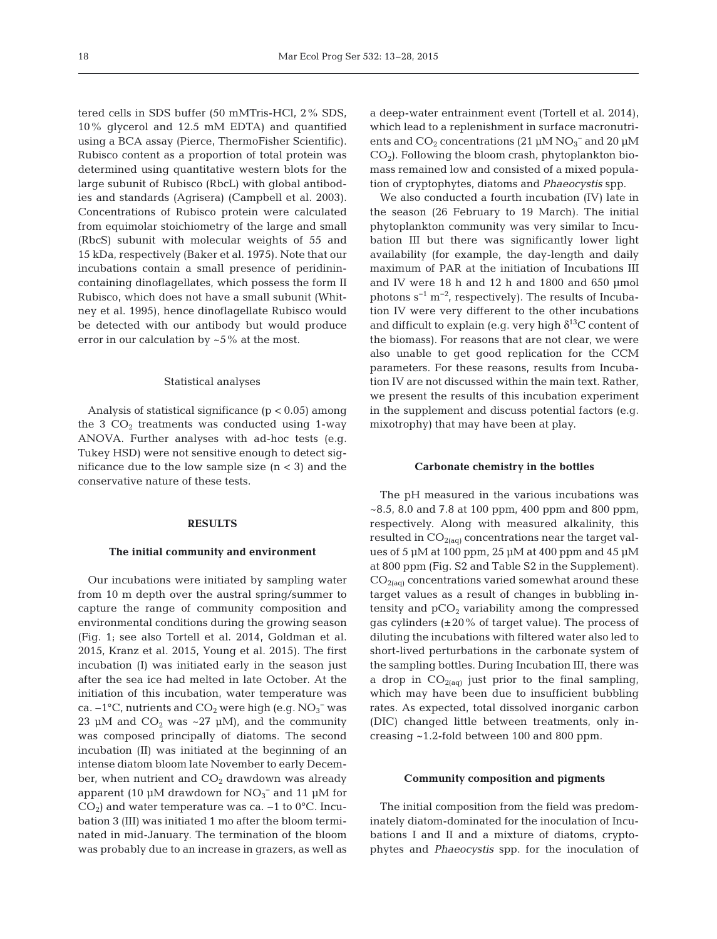tered cells in SDS buffer (50 mMTris-HCl, 2% SDS, 10% glycerol and 12.5 mM EDTA) and quantified using a BCA assay (Pierce, ThermoFisher Scientific). Rubisco content as a proportion of total protein was determined using quantitative western blots for the large subunit of Rubisco (RbcL) with global antibodies and standards (Agrisera) (Campbell et al. 2003). Concentrations of Rubisco protein were calculated from equimolar stoichiometry of the large and small (RbcS) subunit with molecular weights of 55 and 15 kDa, respectively (Baker et al. 1975). Note that our incubations contain a small presence of peridinincontaining dinoflagellates, which possess the form II Rubisco, which does not have a small subunit (Whitney et al. 1995), hence dinoflagellate Rubisco would be detected with our antibody but would produce error in our calculation by  $\sim$  5% at the most.

#### Statistical analyses

Analysis of statistical significance  $(p < 0.05)$  among the  $3 CO<sub>2</sub>$  treatments was conducted using 1-way ANOVA. Further analyses with ad-hoc tests (e.g. Tukey HSD) were not sensitive enough to detect significance due to the low sample size  $(n < 3)$  and the conservative nature of these tests.

# **RESULTS**

#### **The initial community and environment**

Our incubations were initiated by sampling water from 10 m depth over the austral spring/summer to capture the range of community composition and environmental conditions during the growing season (Fig. 1; see also Tortell et al. 2014, Goldman et al. 2015, Kranz et al. 2015, Young et al. 2015). The first incubation (I) was initiated early in the season just after the sea ice had melted in late October. At the initiation of this incubation, water temperature was ca.  $-1^{\circ}$ C, nutrients and CO<sub>2</sub> were high (e.g.  $NO_3^-$  was 23 µM and  $CO_2$  was ~27 µM), and the community was composed principally of diatoms. The second incubation (II) was initiated at the beginning of an intense diatom bloom late November to early December, when nutrient and  $CO<sub>2</sub>$  drawdown was already apparent (10 µM drawdown for  $NO_3^-$  and 11 µM for  $CO<sub>2</sub>$ ) and water temperature was ca. –1 to 0°C. Incubation 3 (III) was initiated 1 mo after the bloom terminated in mid-January. The termination of the bloom was probably due to an increase in grazers, as well as a deep-water entrainment event (Tortell et al. 2014), which lead to a replenishment in surface macronutrients and  $CO_2$  concentrations (21  $\mu$ M NO<sub>3</sub><sup>-</sup> and 20  $\mu$ M  $CO<sub>2</sub>$ ). Following the bloom crash, phytoplankton biomass remained low and consisted of a mixed population of cryptophytes, diatoms and *Phaeocystis* spp.

We also conducted a fourth incubation (IV) late in the season (26 February to 19 March). The initial phytoplankton community was very similar to Incubation III but there was significantly lower light availability (for example, the day-length and daily maximum of PAR at the initiation of Incubations III and IV were 18 h and 12 h and 1800 and 650 µmol photons  $s^{-1}$  m<sup>-2</sup>, respectively). The results of Incubation IV were very different to the other incubations and difficult to explain (e.g. very high  $\delta^{13}$ C content of the biomass). For reasons that are not clear, we were also unable to get good replication for the CCM parameters. For these reasons, results from Incubation IV are not discussed within the main text. Rather, we present the results of this incubation experiment in the supplement and discuss potential factors (e.g. mixotrophy) that may have been at play.

#### **Carbonate chemistry in the bottles**

The pH measured in the various incubations was ~8.5, 8.0 and 7.8 at 100 ppm, 400 ppm and 800 ppm, respectively. Along with measured alkalinity, this resulted in  $CO<sub>2(aq)</sub>$  concentrations near the target values of 5 µM at 100 ppm, 25 µM at 400 ppm and 45 µM at 800 ppm (Fig. S2 and Table S2 in the Supplement).  $CO<sub>2(aq)</sub>$  concentrations varied somewhat around these target values as a result of changes in bubbling in tensity and  $pCO<sub>2</sub>$  variability among the compressed gas cylinders  $(\pm 20\%$  of target value). The process of diluting the incubations with filtered water also led to short-lived perturbations in the carbonate system of the sampling bottles. During Incubation III, there was a drop in  $CO_{2(aq)}$  just prior to the final sampling, which may have been due to insufficient bubbling rates. As expected, total dissolved inorganic carbon (DIC) changed little between treatments, only in creasing ~1.2-fold between 100 and 800 ppm.

# **Community composition and pigments**

The initial composition from the field was predominately diatom-dominated for the inoculation of Incubations I and II and a mixture of diatoms, cryptophytes and *Phaeocystis* spp. for the inoculation of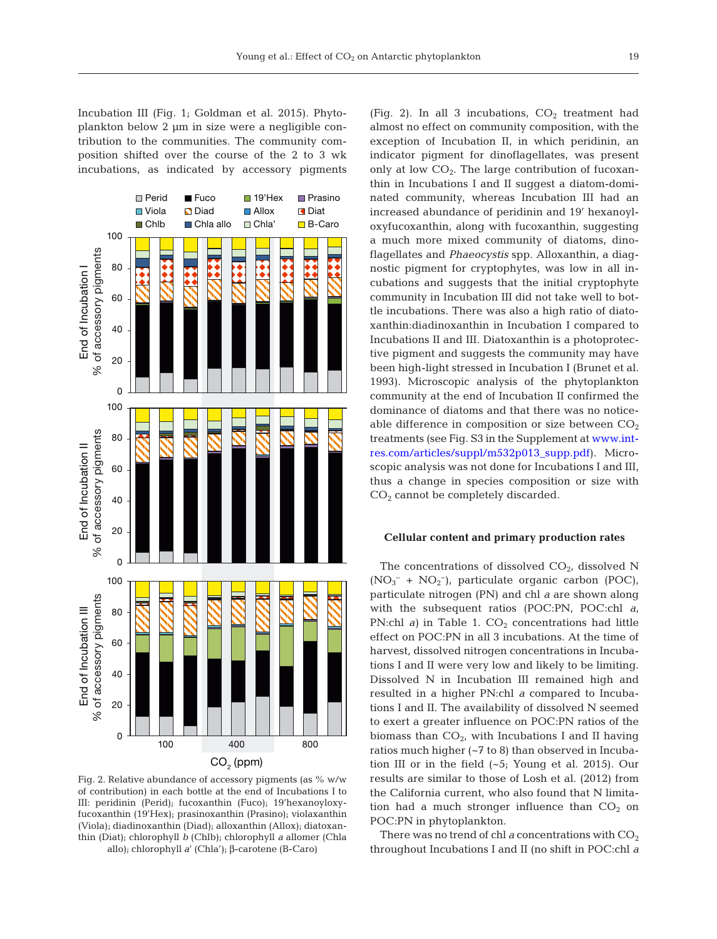Incubation III (Fig. 1; Goldman et al. 2015). Phytoplankton below 2 µm in size were a negligible contribution to the communities. The community com position shifted over the course of the 2 to 3 wk incubations, as indicated by accessory pigments



Fig. 2. Relative abundance of accessory pigments (as % w/w of contribution) in each bottle at the end of Incubations I to III: peridinin (Perid); fucoxanthin (Fuco); 19'hexanoyloxyfucoxanthin (19'Hex); prasinoxanthin (Prasino); violaxanthin (Viola); diadinoxanthin (Diad); alloxanthin (Allox); diatoxan thin (Diat); chlorophyll *b* (Chlb); chlorophyll *a* allomer (Chla allo); chlorophyll *a*' (Chla'); β-carotene (B-Caro)

(Fig. 2). In all 3 incubations,  $CO<sub>2</sub>$  treatment had almost no effect on community composition, with the exception of Incubation II, in which peridinin, an indicator pigment for dinoflagellates, was present only at low  $CO<sub>2</sub>$ . The large contribution of fucoxanthin in Incubations I and II suggest a diatom-dominated community, whereas Incubation III had an increased abundance of peridinin and 19' hexanoyloxyfucoxanthin, along with fucoxanthin, suggesting a much more mixed community of diatoms, dinoflagellates and *Phaeocystis* spp. Alloxanthin, a diagnostic pigment for cryptophytes, was low in all incubations and suggests that the initial cryptophyte community in Incubation III did not take well to bottle incubations. There was also a high ratio of diatoxanthin:diadinoxanthin in Incubation I compared to Incubations II and III. Diatoxanthin is a photoprotective pigment and suggests the community may have been high-light stressed in Incubation I (Brunet et al. 1993). Microscopic analysis of the phytoplankton community at the end of Incubation II confirmed the dominance of diatoms and that there was no noticeable difference in composition or size between  $CO<sub>2</sub>$ treatments (see Fig. S3 in the Supplement at www. intres.com/articles/suppl/m532p013\_supp.pdf). Microscopic analysis was not done for Incubations I and III, thus a change in species composition or size with CO2 cannot be completely discarded.

# **Cellular content and primary production rates**

The concentrations of dissolved  $CO<sub>2</sub>$ , dissolved N (NO3 <sup>−</sup> + NO2 −), particulate organic carbon (POC), particulate nitrogen (PN) and chl *a* are shown along with the subsequent ratios (POC:PN, POC:chl *a*, PN:chl *a*) in Table 1.  $CO<sub>2</sub>$  concentrations had little effect on POC:PN in all 3 incubations. At the time of harvest, dissolved nitrogen concentrations in Incubations I and II were very low and likely to be limiting. Dissolved N in Incubation III remained high and resulted in a higher PN:chl *a* compared to Incubations I and II. The availability of dissolved N seemed to exert a greater influence on POC:PN ratios of the biomass than  $CO<sub>2</sub>$ , with Incubations I and II having ratios much higher (~7 to 8) than observed in Incubation III or in the field (~5; Young et al. 2015). Our results are similar to those of Losh et al. (2012) from the California current, who also found that N limitation had a much stronger influence than  $CO<sub>2</sub>$  on POC:PN in phytoplankton.

There was no trend of chl *a* concentrations with  $CO<sub>2</sub>$ throughout Incubations I and II (no shift in POC: chl *a*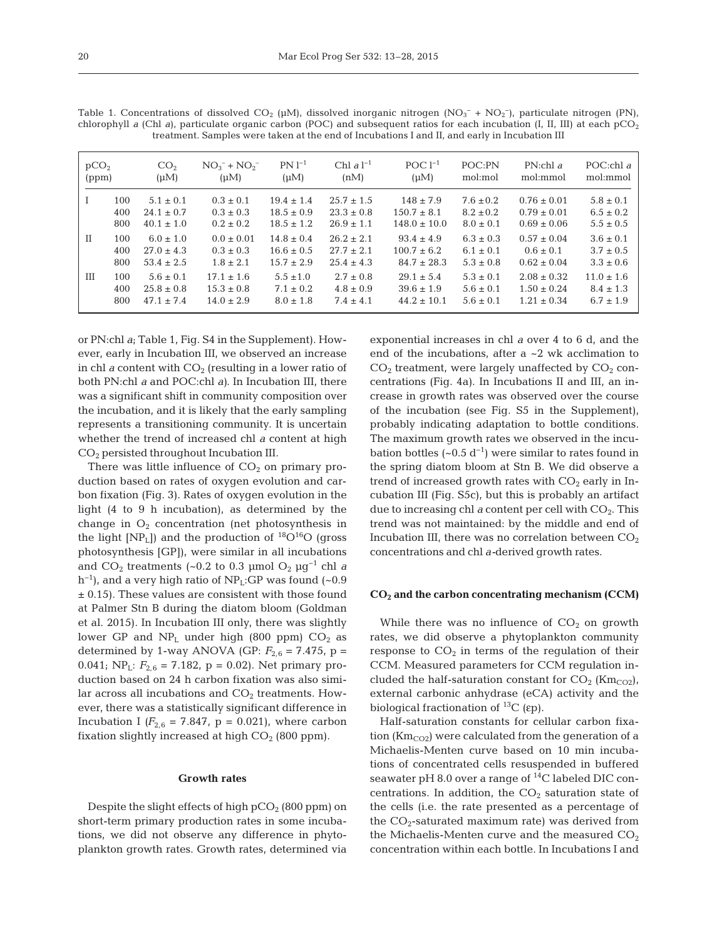| able 1. Concentrations of dissolved CO <sub>2</sub> (µM), dissolved inorganic nitrogen (NO <sub>3</sub> <sup>-</sup> + NO <sub>2</sub> <sup>-</sup> ), particulate nitrogen (PN<br>norophyll a (Chl a), particulate organic carbon (POC) and subsequent ratios for each incubation (I, II, III) at each pC(<br>treatment. Samples were taken at the end of Incubations I and II, and early in Incubation III |     |                 |                   |                |                |                 |               |                 |                    |  |
|--------------------------------------------------------------------------------------------------------------------------------------------------------------------------------------------------------------------------------------------------------------------------------------------------------------------------------------------------------------------------------------------------------------|-----|-----------------|-------------------|----------------|----------------|-----------------|---------------|-----------------|--------------------|--|
| pCO <sub>2</sub>                                                                                                                                                                                                                                                                                                                                                                                             |     | CO <sub>2</sub> | $NO_3^- + NO_2^-$ | $PN 1^{-1}$    | Chl $aI^{-1}$  | POC $1^{-1}$    | POC:PN        | $PN:$ chl a     | POC:chl $\epsilon$ |  |
| (ppm)                                                                                                                                                                                                                                                                                                                                                                                                        |     | $(\mu M)$       | (uM)              | $(\mu M)$      | (nM)           | $(\mu M)$       | mol:mol       | mol:mmol        | mol:mmol           |  |
|                                                                                                                                                                                                                                                                                                                                                                                                              | 100 | $5.1 \pm 0.1$   | $0.3 \pm 0.1$     | $19.4 \pm 1.4$ | $25.7 \pm 1.5$ | $148 \pm 7.9$   | $7.6 \pm 0.2$ | $0.76 \pm 0.01$ | $5.8 \pm 0.1$      |  |
|                                                                                                                                                                                                                                                                                                                                                                                                              | 400 | $24.1 \pm 0.7$  | $0.3 \pm 0.3$     | $18.5 \pm 0.9$ | $23.3 \pm 0.8$ | $150.7 \pm 8.1$ | $8.2 \pm 0.2$ | $0.79 \pm 0.01$ | $6.5 \pm 0.2$      |  |

Table 1. Concentrations of dissolved CO<sub>2</sub> (µM), dissolved inorganic nitrogen (NO<sub>3</sub> itrogen (PN), chlorophyll *a* (Chl *a*), particulate organic carbon (POC) and subsequent ratios for each incubation (I, II, III) at each pCO<sub>2</sub>

 $800 \quad 40.1 \pm 1.0 \quad 0.2 \pm 0.2 \quad 18.5 \pm 1.2 \quad 26.9 \pm 1.1 \quad 148.0 \pm 10.0 \quad 8.0 \pm 0.1 \quad 0.69 \pm 0.06 \quad 5.5 \pm 0.5$ II  $100 \quad 6.0 \pm 1.0$   $0.0 \pm 0.01$   $14.8 \pm 0.4$   $26.2 \pm 2.1$   $93.4 \pm 4.9$   $6.3 \pm 0.3$   $0.57 \pm 0.04$   $3.6 \pm 0.1$  $400 \quad 27.0 \pm 4.3 \quad 0.3 \pm 0.3 \quad 16.6 \pm 0.5 \quad 27.7 \pm 2.1 \quad 100.7 \pm 6.2 \quad 6.1 \pm 0.1 \quad 0.6 \pm 0.1 \quad 3.7 \pm 0.5$  $800 \quad 53.4 \pm 2.5$   $1.8 \pm 2.1$   $15.7 \pm 2.9$   $25.4 \pm 4.3$   $84.7 \pm 28.3$   $5.3 \pm 0.8$   $0.62 \pm 0.04$   $3.3 \pm 0.6$ III  $100$   $5.6 \pm 0.1$   $17.1 \pm 1.6$   $5.5 \pm 1.0$   $2.7 \pm 0.8$   $29.1 \pm 5.4$   $5.3 \pm 0.1$   $2.08 \pm 0.32$   $11.0 \pm 1.6$  $400 \quad 25.8 \pm 0.8$   $15.3 \pm 0.8$   $7.1 \pm 0.2$   $4.8 \pm 0.9$   $39.6 \pm 1.9$   $5.6 \pm 0.1$   $1.50 \pm 0.24$   $8.4 \pm 1.3$  $800 \quad 47.1 \pm 7.4 \quad 14.0 \pm 2.9 \quad 8.0 \pm 1.8 \quad 7.4 \pm 4.1 \quad 44.2 \pm 10.1 \quad 5.6 \pm 0.1 \quad 1.21 \pm 0.34 \quad 6.7 \pm 1.9$ 

or PN:chl *a*; Table 1, Fig. S4 in the Supplement). However, early in Incubation III, we observed an increase in chl *a* content with  $CO<sub>2</sub>$  (resulting in a lower ratio of both PN:chl *a* and POC:chl *a)*. In Incubation III, there was a significant shift in community composition over the incubation, and it is likely that the early sampling represents a transitioning community. It is uncertain whether the trend of increased chl *a* content at high CO2 persisted throughout Incubation III.

There was little influence of  $CO<sub>2</sub>$  on primary production based on rates of oxygen evolution and carbon fixation (Fig. 3). Rates of oxygen evolution in the light (4 to 9 h incubation), as determined by the change in  $O_2$  concentration (net photosynthesis in the light  $[NP_L]$ ) and the production of  ${}^{18}O_{16}O$  (gross photosynthesis [GP]), were similar in all incubations and  $CO_2$  treatments (~0.2 to 0.3 µmol  $O_2$  µg<sup>-1</sup> chl *a*  $h^{-1}$ ), and a very high ratio of NP<sub>L</sub>:GP was found (~0.9)  $\pm$  0.15). These values are consistent with those found at Palmer Stn B during the diatom bloom (Goldman et al. 2015). In Incubation III only, there was slightly lower GP and  $NP<sub>L</sub>$  under high (800 ppm)  $CO<sub>2</sub>$  as determined by 1-way ANOVA (GP:  $F_{2,6} = 7.475$ , p = 0.041; NP<sub>L</sub>:  $F_{2.6}$  = 7.182, p = 0.02). Net primary production based on 24 h carbon fixation was also similar across all incubations and  $CO<sub>2</sub>$  treatments. However, there was a statistically significant difference in Incubation I  $(F_{2,6} = 7.847, p = 0.021)$ , where carbon fixation slightly increased at high  $CO<sub>2</sub>$  (800 ppm).

# **Growth rates**

Despite the slight effects of high  $pCO<sub>2</sub>$  (800 ppm) on short-term primary production rates in some incubations, we did not observe any difference in phytoplankton growth rates. Growth rates, determined via exponential increases in chl *a* over 4 to 6 d, and the end of the incubations, after a ~2 wk acclimation to  $CO<sub>2</sub>$  treatment, were largely unaffected by  $CO<sub>2</sub>$  concentrations (Fig. 4a). In Incubations II and III, an increase in growth rates was observed over the course of the incubation (see Fig. S5 in the Supplement), probably indicating adaptation to bottle conditions. The maximum growth rates we observed in the incubation bottles (~0.5  $d^{-1}$ ) were similar to rates found in the spring diatom bloom at Stn B. We did observe a trend of increased growth rates with  $CO<sub>2</sub>$  early in Incubation III (Fig. S5c), but this is probably an artifact due to increasing chl  $a$  content per cell with  $CO<sub>2</sub>$ . This trend was not maintained: by the middle and end of Incubation III, there was no correlation between  $CO<sub>2</sub>$ concentrations and chl *a-*derived growth rates.

#### **CO2 and the carbon concentrating mechanism (CCM)**

While there was no influence of  $CO<sub>2</sub>$  on growth rates, we did observe a phytoplankton community response to  $CO<sub>2</sub>$  in terms of the regulation of their CCM. Measured parameters for CCM regulation included the half-saturation constant for  $CO_2$  (Km<sub>CO2</sub>), external carbonic anhydrase (eCA) activity and the biological fractionation of  ${}^{13}C$  (εp).

Half-saturation constants for cellular carbon fixation ( $Km_{CO2}$ ) were calculated from the generation of a Michaelis-Menten curve based on 10 min incubations of concentrated cells resuspended in buffered seawater pH 8.0 over a range of <sup>14</sup>C labeled DIC concentrations. In addition, the  $CO<sub>2</sub>$  saturation state of the cells (i.e. the rate presented as a percentage of the  $CO_2$ -saturated maximum rate) was derived from the Michaelis-Menten curve and the measured  $CO<sub>2</sub>$ concentration within each bottle. In Incubations I and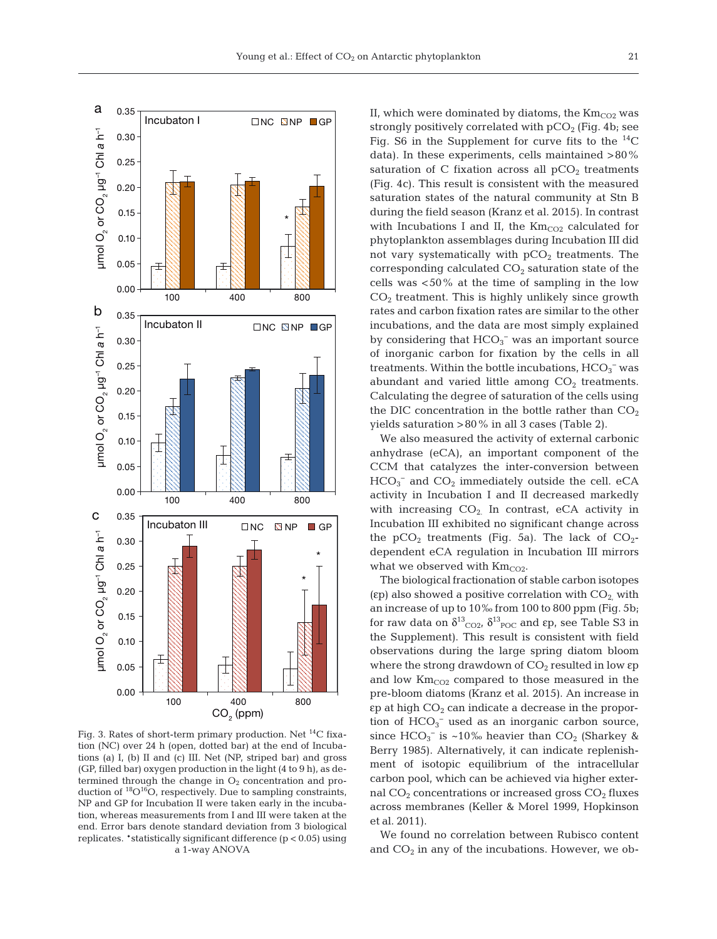

Fig. 3. Rates of short-term primary production. Net 14C fixation (NC) over 24 h (open, dotted bar) at the end of Incubations (a) I, (b) II and (c) III. Net (NP, striped bar) and gross (GP, filled bar) oxygen production in the light (4 to 9 h), as determined through the change in  $O_2$  concentration and production of <sup>18</sup>O<sup>16</sup>O, respectively. Due to sampling constraints, NP and GP for Incubation II were taken early in the incubation, whereas measurements from I and III were taken at the end. Error bars denote standard deviation from 3 biological replicates. \*statistically significant difference  $(p < 0.05)$  using a 1-way ANOVA

II, which were dominated by diatoms, the  $\text{Km}_{\text{CO2}}$  was strongly positively correlated with  $pCO<sub>2</sub>$  (Fig. 4b; see Fig. S6 in the Supplement for curve fits to the  $^{14}C$ data). In these experiments, cells maintained >80% saturation of C fixation across all  $pCO<sub>2</sub>$  treatments (Fig. 4c). This result is consistent with the measured saturation states of the natural community at Stn B during the field season (Kranz et al. 2015). In contrast with Incubations I and II, the  $Km_{CO2}$  calculated for phytoplankton assemblages during Incubation III did not vary systematically with  $pCO<sub>2</sub>$  treatments. The corresponding calculated  $CO<sub>2</sub>$  saturation state of the cells was <50% at the time of sampling in the low  $CO<sub>2</sub>$  treatment. This is highly unlikely since growth rates and carbon fixation rates are similar to the other incubations, and the data are most simply explained by considering that  $HCO<sub>3</sub><sup>-</sup>$  was an important source of inorganic carbon for fixation by the cells in all treatments. Within the bottle incubations,  $\text{HCO}_3^-$  was abundant and varied little among  $CO<sub>2</sub>$  treatments. Calculating the degree of saturation of the cells using the DIC concentration in the bottle rather than  $CO<sub>2</sub>$ yields saturation >80% in all 3 cases (Table 2).

We also measured the activity of external carbonic anhydrase (eCA), an important component of the CCM that catalyzes the inter-conversion between  $HCO_3^-$  and  $CO_2$  immediately outside the cell. eCA activity in Incubation I and II decreased markedly with increasing  $CO<sub>2</sub>$  In contrast, eCA activity in Incubation III exhibited no significant change across the  $pCO<sub>2</sub>$  treatments (Fig. 5a). The lack of  $CO<sub>2</sub>$ dependent eCA regulation in Incubation III mirrors what we observed with  $\text{Km}_{\text{CO2}}$ .

The biological fractionation of stable carbon isotopes (εp) also showed a positive correlation with  $CO<sub>2</sub>$  with an increase of up to 10‰ from 100 to 800 ppm (Fig. 5b; for raw data on  $\delta^{13}$ <sub>CO2</sub>,  $\delta^{13}$ <sub>POC</sub> and  $\epsilon$ p, see Table S3 in the Supplement). This result is consistent with field observations during the large spring diatom bloom where the strong drawdown of  $CO<sub>2</sub>$  resulted in low  $\varepsilon$ p and low  $\text{Km}_{\text{CO2}}$  compared to those measured in the pre-bloom diatoms (Kranz et al. 2015). An increase in  $\epsilon$  at high  $CO<sub>2</sub>$  can indicate a decrease in the proportion of  $HCO_3^-$  used as an inorganic carbon source, since  $HCO_3^-$  is ~10‰ heavier than  $CO_2$  (Sharkey & Berry 1985). Alternatively, it can indicate replenishment of isotopic equilibrium of the intracellular carbon pool, which can be achieved via higher external  $CO<sub>2</sub>$  concentrations or increased gross  $CO<sub>2</sub>$  fluxes across membranes (Keller & Morel 1999, Hopkinson et al. 2011).

We found no correlation between Rubisco content and  $CO<sub>2</sub>$  in any of the incubations. However, we ob-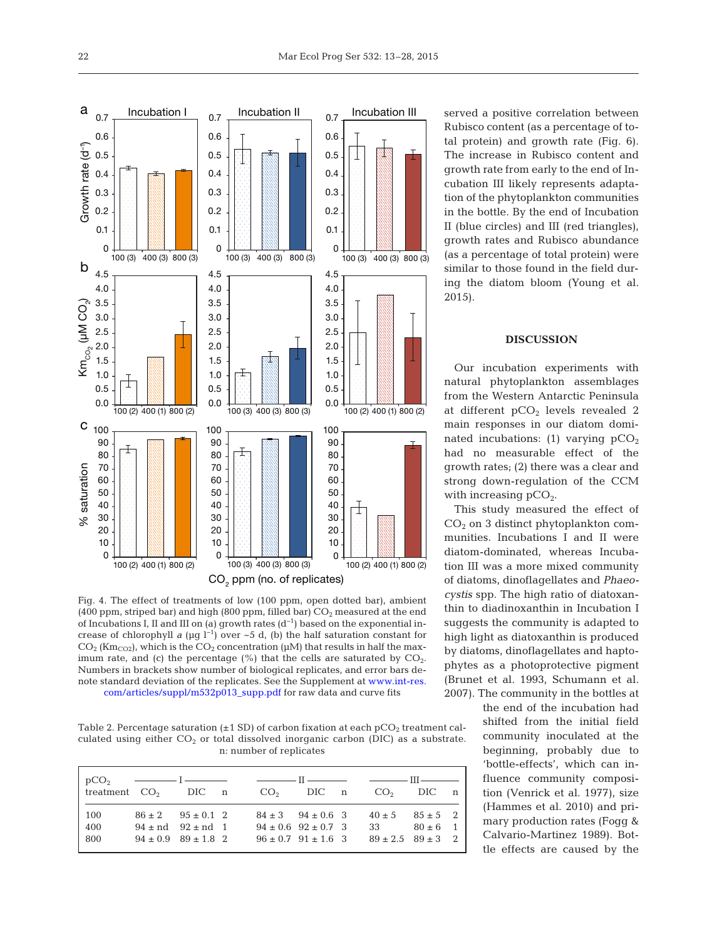

Fig. 4. The effect of treatments of low (100 ppm, open dotted bar), ambient (400 ppm, striped bar) and high (800 ppm, filled bar)  $CO<sub>2</sub>$  measured at the end of Incubations I, II and III on (a) growth rates  $(d^{-1})$  based on the exponential increase of chlorophyll *a* ( $\mu$ g l<sup>-1</sup>) over ~5 d, (b) the half saturation constant for  $CO<sub>2</sub>$  (Km<sub>CO2</sub>), which is the  $CO<sub>2</sub>$  concentration ( $\mu$ M) that results in half the maximum rate, and (c) the percentage  $(\%)$  that the cells are saturated by  $CO<sub>2</sub>$ . Numbers in brackets show number of biological replicates, and error bars denote [standard deviation of the replicates. See the Supplement at www. int-res.](http://www.int-res.com/articles/suppl/m532p013_supp.pdf)  com/articles/suppl/m532p013\_supp.pdf for raw data and curve fits

Table 2. Percentage saturation  $(\pm 1 \text{ SD})$  of carbon fixation at each pCO<sub>2</sub> treatment calculated using either  $CO<sub>2</sub>$  or total dissolved inorganic carbon (DIC) as a substrate. n: number of replicates

|                   |                                                                                       | $pCO2$ $\longrightarrow$ $I \longrightarrow$ $I \longrightarrow$ $II \longrightarrow$ $III \longrightarrow$<br>reatment $CO_2$ DIC n $CO_2$ DIC n $CO_2$ DIC n |                 |  |
|-------------------|---------------------------------------------------------------------------------------|----------------------------------------------------------------------------------------------------------------------------------------------------------------|-----------------|--|
| 100<br>400<br>800 | $86 \pm 2$ $95 \pm 0.1$ 2<br>$94 \pm nd$ $92 \pm nd$ 1<br>$94 \pm 0.9$ $89 \pm 1.8$ 2 | $84 \pm 3$ $94 \pm 0.6$ 3 $40 \pm 5$ $85 \pm 5$ 2<br>$94 \pm 0.6$ $92 \pm 0.7$ 3<br>$96 \pm 0.7$ $91 \pm 1.6$ 3 $89 \pm 2.5$ $89 \pm 3$ 2                      | 33 $80 \pm 6$ 1 |  |

served a positive correlation between Rubisco content (as a percentage of total protein) and growth rate (Fig. 6). The increase in Rubisco content and growth rate from early to the end of Incubation III likely represents adaptation of the phytoplankton communities in the bottle. By the end of Incubation II (blue circles) and III (red triangles), growth rates and Rubisco abundance (as a percentage of total protein) were similar to those found in the field during the diatom bloom (Young et al. 2015).

# **DISCUSSION**

Our incubation experiments with natural phytoplankton assemblages from the Western Antarctic Peninsula at different  $pCO<sub>2</sub>$  levels revealed 2 main responses in our diatom dominated incubations: (1) varying  $pCO<sub>2</sub>$ had no measurable effect of the growth rates; (2) there was a clear and strong down-regulation of the CCM with increasing  $pCO<sub>2</sub>$ .

This study measured the effect of  $CO<sub>2</sub>$  on 3 distinct phytoplankton communities. Incubations I and II were diatom-dominated, whereas Incubation III was a more mixed community of diatoms, dinoflagellates and *Phaeo cystis* spp. The high ratio of diatoxanthin to diadinoxanthin in Incubation I suggests the community is adapted to high light as diatoxanthin is produced by diatoms, dinoflagellates and haptophytes as a photoprotective pigment (Brunet et al. 1993, Schumann et al. 2007). The community in the bottles at

the end of the incubation had shifted from the initial field community inoculated at the beginning, probably due to 'bottle-effects', which can influence community composition (Venrick et al. 1977), size (Hammes et al. 2010) and primary production rates (Fogg & Calvario-Martinez 1989). Bottle effects are caused by the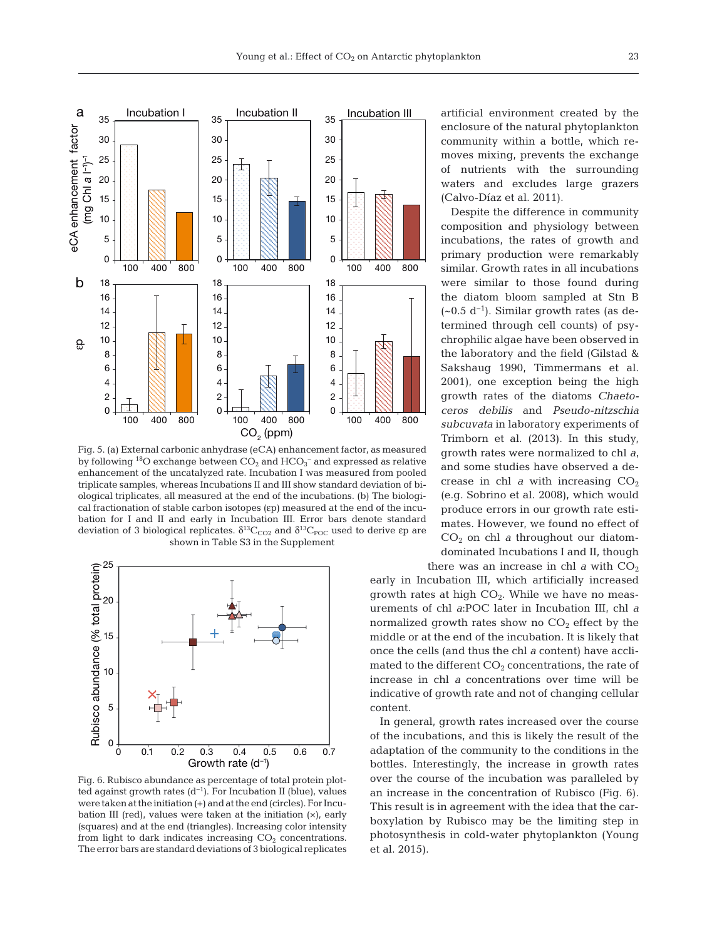

Fig. 5. (a) External carbonic anhydrase (eCA) enhancement factor, as measured by following  $^{18}$ O exchange between  $\rm CO_2$  and  $\rm HCO_3^-$  and expressed as relative enhancement of the uncatalyzed rate. Incubation I was measured from pooled triplicate samples, whereas Incubations II and III show standard deviation of biological triplicates, all measured at the end of the incubations. (b) The biological fractionation of stable carbon isotopes (εp) measured at the end of the incubation for I and II and early in Incubation III. Error bars denote standard deviation of 3 biological replicates.  $\delta^{13}C_{CO2}$  and  $\delta^{13}C_{POC}$  used to derive εp are shown in Table S3 in the Supplement



Fig. 6. Rubisco abundance as percentage of total protein plotted against growth rates  $(d^{-1})$ . For Incubation II (blue), values were taken at the initiation (+) and at the end (circles). For Incubation III (red), values were taken at the initiation (×), early (squares) and at the end (triangles). Increasing color intensity from light to dark indicates increasing  $CO<sub>2</sub>$  concentrations. The error bars are standard deviations of 3 biological replicates

artificial environment created by the enclosure of the natural phytoplankton community within a bottle, which removes mixing, prevents the exchange of nutrients with the surrounding waters and excludes large grazers (Calvo-Díaz et al. 2011).

Despite the difference in community composition and physiology between incubations, the rates of growth and primary production were remarkably similar. Growth rates in all incubations were similar to those found during the diatom bloom sampled at Stn B  $(-0.5 d<sup>-1</sup>)$ . Similar growth rates (as determined through cell counts) of psychrophilic algae have been observed in the laboratory and the field (Gilstad & Sakshaug 1990, Timmermans et al. 2001), one exception being the high growth rates of the diatoms *Chaetoceros debilis* and *Pseudo-nitzschia subcuvata* in laboratory experiments of Trimborn et al. (2013). In this study, growth rates were normalized to chl *a*, and some studies have observed a decrease in chl *a* with increasing  $CO<sub>2</sub>$ (e.g. Sobrino et al. 2008), which would produce errors in our growth rate estimates. However, we found no effect of CO2 on chl *a* throughout our diatomdominated Incubations I and II, though

there was an increase in chl  $a$  with  $CO<sub>2</sub>$ early in Incubation III, which artificially increased growth rates at high  $CO<sub>2</sub>$ . While we have no measurements of chl *a*:POC later in Incubation III, chl *a* normalized growth rates show no  $CO<sub>2</sub>$  effect by the middle or at the end of the incubation. It is likely that once the cells (and thus the chl *a* content) have acclimated to the different  $CO<sub>2</sub>$  concentrations, the rate of increase in chl *a* concentrations over time will be indicative of growth rate and not of changing cellular content.

In general, growth rates increased over the course of the incubations, and this is likely the result of the adaptation of the community to the conditions in the bottles. Interestingly, the increase in growth rates over the course of the incubation was paralleled by an increase in the concentration of Rubisco (Fig. 6). This result is in agreement with the idea that the carboxylation by Rubisco may be the limiting step in photosynthesis in cold-water phytoplankton (Young et al. 2015).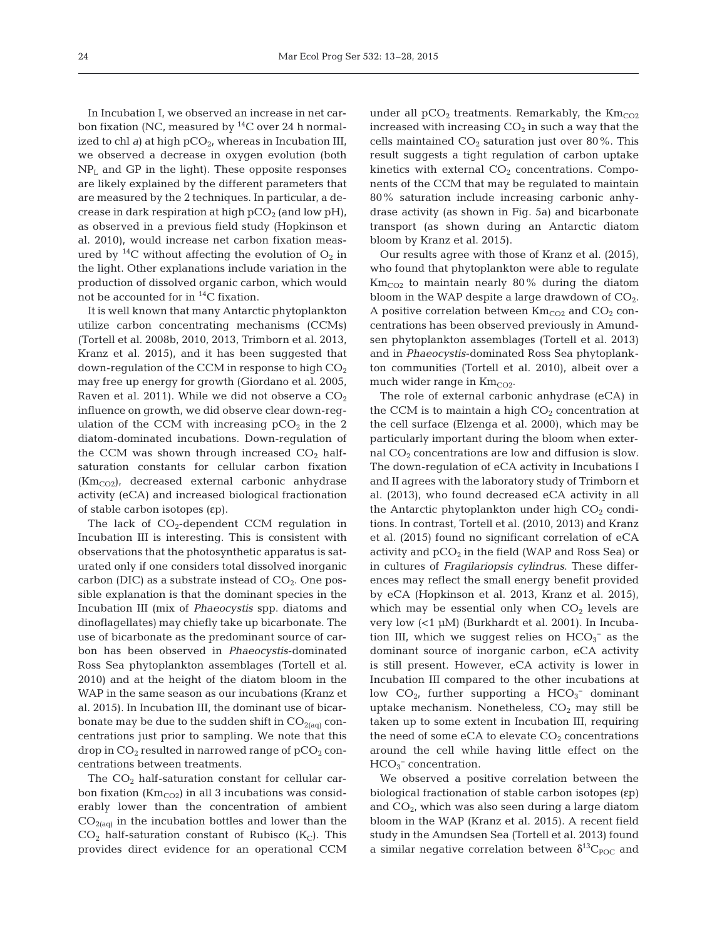In Incubation I, we observed an increase in net carbon fixation (NC, measured by  $^{14}$ C over 24 h normalized to chl *a*) at high pCO<sub>2</sub>, whereas in Incubation III, we observed a decrease in oxygen evolution (both  $NP<sub>L</sub>$  and GP in the light). These opposite responses are likely explained by the different parameters that are measured by the 2 techniques. In particular, a de crease in dark respiration at high  $pCO<sub>2</sub>$  (and low  $pH$ ), as observed in a previous field study (Hopkinson et al. 2010), would increase net carbon fixation measured by  $^{14}C$  without affecting the evolution of  $O_2$  in the light. Other explanations include variation in the production of dissolved organic carbon, which would not be accounted for in 14C fixation.

It is well known that many Antarctic phytoplankton utilize carbon concentrating mechanisms (CCMs) (Tortell et al. 2008b, 2010, 2013, Trimborn et al. 2013, Kranz et al. 2015), and it has been suggested that down-regulation of the CCM in response to high  $CO<sub>2</sub>$ may free up energy for growth (Giordano et al. 2005, Raven et al. 2011). While we did not observe a  $CO<sub>2</sub>$ influence on growth, we did observe clear down-regulation of the CCM with increasing  $pCO<sub>2</sub>$  in the 2 diatom-dominated incubations. Down-regulation of the CCM was shown through increased  $CO<sub>2</sub>$  halfsaturation constants for cellular carbon fixation  $(Km_{CO2})$ , decreased external carbonic anhydrase activity (eCA) and increased biological fractionation of stable carbon isotopes (εp).

The lack of  $CO<sub>2</sub>$ -dependent CCM regulation in Incubation III is interesting. This is consistent with observations that the photosynthetic apparatus is saturated only if one considers total dissolved inorganic carbon (DIC) as a substrate instead of  $CO<sub>2</sub>$ . One possible explanation is that the dominant species in the Incubation III (mix of *Phaeocystis* spp. diatoms and dinoflagellates) may chiefly take up bicarbonate. The use of bicarbonate as the predominant source of carbon has been observed in *Phaeocystis*-dominated Ross Sea phytoplankton assemblages (Tortell et al. 2010) and at the height of the diatom bloom in the WAP in the same season as our incubations (Kranz et al. 2015). In Incubation III, the dominant use of bicarbonate may be due to the sudden shift in  $CO<sub>2(aq)</sub>$  concentrations just prior to sampling. We note that this drop in  $CO_2$  resulted in narrowed range of  $pCO_2$  concentrations between treatments.

The  $CO<sub>2</sub>$  half-saturation constant for cellular carbon fixation ( $\text{Km}_{\text{CO2}}$ ) in all 3 incubations was considerably lower than the concentration of ambient  $CO<sub>2(aq)</sub>$  in the incubation bottles and lower than the  $CO<sub>2</sub>$  half-saturation constant of Rubisco (K<sub>C</sub>). This provides direct evidence for an operational CCM under all  $pCO<sub>2</sub>$  treatments. Remarkably, the  $Km_{CO2}$ increased with increasing  $CO<sub>2</sub>$  in such a way that the cells maintained  $CO<sub>2</sub>$  saturation just over 80%. This result suggests a tight regulation of carbon uptake kinetics with external  $CO<sub>2</sub>$  concentrations. Components of the CCM that may be regulated to maintain 80% saturation include increasing carbonic anhydrase activity (as shown in Fig. 5a) and bicarbonate transport (as shown during an Antarctic diatom bloom by Kranz et al. 2015).

Our results agree with those of Kranz et al. (2015), who found that phytoplankton were able to regulate  $\text{Km}_{\text{CO2}}$  to maintain nearly 80% during the diatom bloom in the WAP despite a large drawdown of  $CO<sub>2</sub>$ . A positive correlation between  $\text{Km}_{\text{CO2}}$  and  $\text{CO}_2$  concentrations has been observed previously in Amundsen phytoplankton assemblages (Tortell et al. 2013) and in *Phaeocystis*-dominated Ross Sea phytoplankton communities (Tortell et al. 2010), albeit over a much wider range in  $Km_{CO2}$ .

The role of external carbonic anhydrase (eCA) in the CCM is to maintain a high  $CO<sub>2</sub>$  concentration at the cell surface (Elzenga et al. 2000), which may be particularly important during the bloom when external  $CO<sub>2</sub>$  concentrations are low and diffusion is slow. The down-regulation of eCA activity in Incubations I and II agrees with the laboratory study of Trimborn et al. (2013), who found decreased eCA activity in all the Antarctic phytoplankton under high  $CO<sub>2</sub>$  conditions. In contrast, Tortell et al. (2010, 2013) and Kranz et al. (2015) found no significant correlation of eCA activity and  $pCO<sub>2</sub>$  in the field (WAP and Ross Sea) or in cultures of *Fragilariopsis cylindrus*. These differences may reflect the small energy benefit provided by eCA (Hopkinson et al. 2013, Kranz et al. 2015), which may be essential only when  $CO<sub>2</sub>$  levels are very low (<1 µM) (Burkhardt et al. 2001). In Incubation III, which we suggest relies on  $HCO_3^-$  as the dominant source of inorganic carbon, eCA activity is still present. However, eCA activity is lower in Incubation III compared to the other incubations at low  $CO<sub>2</sub>$ , further supporting a  $HCO<sub>3</sub><sup>-</sup>$  dominant uptake mechanism. Nonetheless,  $CO<sub>2</sub>$  may still be taken up to some extent in Incubation III, requiring the need of some eCA to elevate  $CO<sub>2</sub>$  concentrations around the cell while having little effect on the  $HCO<sub>3</sub><sup>-</sup> concentration.$ 

We observed a positive correlation between the biological fractionation of stable carbon isotopes (εp) and  $CO<sub>2</sub>$ , which was also seen during a large diatom bloom in the WAP (Kranz et al. 2015). A recent field study in the Amundsen Sea (Tortell et al. 2013) found a similar negative correlation between  $\delta^{13}C_{\text{POC}}$  and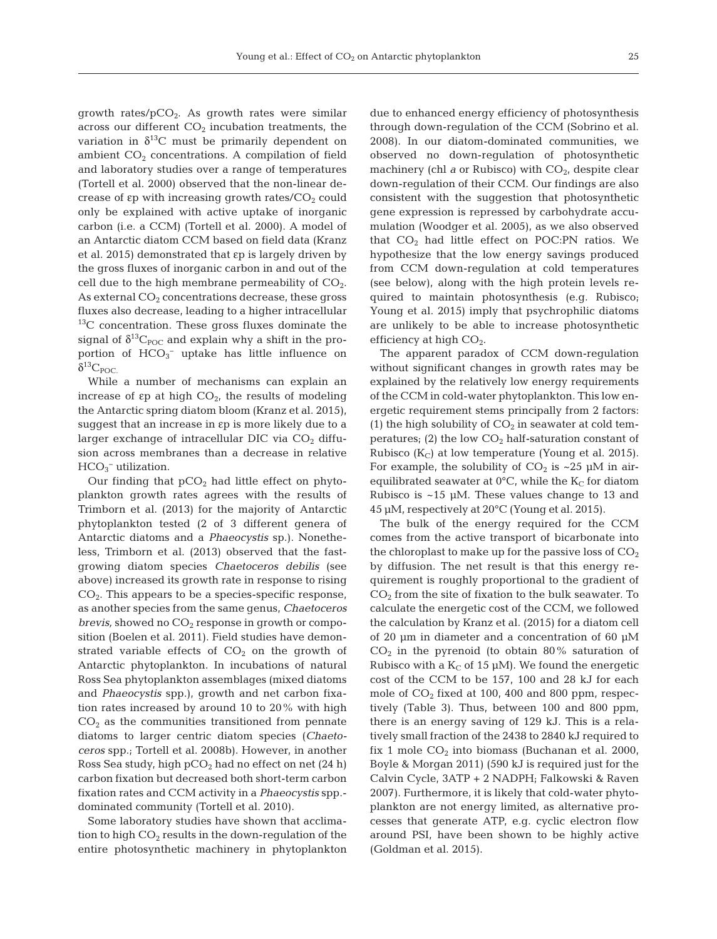growth rates/ $pCO<sub>2</sub>$ . As growth rates were similar across our different  $CO<sub>2</sub>$  incubation treatments, the variation in  $\delta^{13}$ C must be primarily dependent on ambient  $CO<sub>2</sub>$  concentrations. A compilation of field and laboratory studies over a range of temperatures (Tortell et al. 2000) observed that the non-linear de crease of  $\varepsilon$ p with increasing growth rates/ $CO<sub>2</sub>$  could only be explained with active uptake of inorganic carbon (i.e. a CCM) (Tortell et al. 2000). A model of an Antarctic diatom CCM based on field data (Kranz et al. 2015) demonstrated that εp is largely driven by the gross fluxes of inorganic carbon in and out of the cell due to the high membrane permeability of  $CO<sub>2</sub>$ . As external  $CO<sub>2</sub>$  concentrations decrease, these gross fluxes also decrease, leading to a higher intracellular  $13<sup>13</sup>C$  concentration. These gross fluxes dominate the signal of  $\delta^{13}C_{\text{POC}}$  and explain why a shift in the proportion of  $HCO_3^-$  uptake has little influence on  $\delta^{13}C_{\text{POC}}$ 

While a number of mechanisms can explain an increase of  $\varepsilon$ p at high  $CO<sub>2</sub>$ , the results of modeling the Antarctic spring diatom bloom (Kranz et al. 2015), suggest that an increase in εp is more likely due to a larger exchange of intracellular DIC via  $CO<sub>2</sub>$  diffusion across membranes than a decrease in relative  $HCO<sub>3</sub><sup>-</sup>$  utilization.

Our finding that  $pCO<sub>2</sub>$  had little effect on phytoplankton growth rates agrees with the results of Trimborn et al. (2013) for the majority of Antarctic phytoplankton tested (2 of 3 different genera of Antarctic diatoms and a *Phaeocystis* sp.). Nonetheless, Trimborn et al. (2013) observed that the fastgrowing diatom species *Chaetoceros debilis* (see above) increased its growth rate in response to rising  $CO<sub>2</sub>$ . This appears to be a species-specific response, as another species from the same genus, *Chaetoceros brevis*, showed no  $CO_2$  response in growth or composition (Boelen et al. 2011). Field studies have demonstrated variable effects of  $CO<sub>2</sub>$  on the growth of Antarctic phytoplankton. In incubations of natural Ross Sea phytoplankton assemblages (mixed diatoms and *Phaeocystis* spp.), growth and net carbon fixation rates increased by around 10 to 20% with high  $CO<sub>2</sub>$  as the communities transitioned from pennate diatoms to larger centric diatom species (*Chaetoceros* spp.; Tortell et al. 2008b). However, in another Ross Sea study, high  $pCO<sub>2</sub>$  had no effect on net (24 h) carbon fixation but decreased both short-term carbon fixation rates and CCM activity in a *Phaeocystis* spp. dominated community (Tortell et al. 2010).

Some laboratory studies have shown that acclimation to high  $CO<sub>2</sub>$  results in the down-regulation of the entire photosynthetic machinery in phytoplankton due to enhanced energy efficiency of photosynthesis through down-regulation of the CCM (Sobrino et al. 2008). In our diatom-dominated communities, we observed no down-regulation of photosynthetic machinery (chl  $a$  or Rubisco) with  $CO<sub>2</sub>$ , despite clear down-regulation of their CCM. Our findings are also consistent with the suggestion that photosynthetic gene expression is repressed by carbohydrate accumulation (Woodger et al. 2005), as we also observed that  $CO<sub>2</sub>$  had little effect on POC:PN ratios. We hypothesize that the low energy savings produced from CCM down-regulation at cold temperatures (see below), along with the high protein levels re quired to maintain photosynthesis (e.g. Rubisco; Young et al. 2015) imply that psychrophilic diatoms are unlikely to be able to increase photosynthetic efficiency at high  $CO<sub>2</sub>$ .

The apparent paradox of CCM down-regulation without significant changes in growth rates may be explained by the relatively low energy requirements of the CCM in cold-water phytoplankton. This low energetic requirement stems principally from 2 factors: (1) the high solubility of  $CO<sub>2</sub>$  in seawater at cold temperatures; (2) the low  $CO<sub>2</sub>$  half-saturation constant of Rubisco ( $K_C$ ) at low temperature (Young et al. 2015). For example, the solubility of  $CO_2$  is ~25 µM in airequilibrated seawater at  $0^{\circ}$ C, while the K<sub>C</sub> for diatom Rubisco is  $~15$  µM. These values change to 13 and 45 µM, respectively at 20°C (Young et al. 2015).

The bulk of the energy required for the CCM comes from the active transport of bicarbonate into the chloroplast to make up for the passive loss of  $CO<sub>2</sub>$ by diffusion. The net result is that this energy requirement is roughly proportional to the gradient of  $CO<sub>2</sub>$  from the site of fixation to the bulk seawater. To calculate the energetic cost of the CCM, we followed the calculation by Kranz et al. (2015) for a diatom cell of 20 µm in diameter and a concentration of 60 µM  $CO<sub>2</sub>$  in the pyrenoid (to obtain 80% saturation of Rubisco with a  $K_C$  of 15 µM). We found the energetic cost of the CCM to be 157, 100 and 28 kJ for each mole of  $CO<sub>2</sub>$  fixed at 100, 400 and 800 ppm, respectively (Table 3). Thus, between 100 and 800 ppm, there is an energy saving of 129 kJ. This is a relatively small fraction of the 2438 to 2840 kJ required to fix 1 mole  $CO<sub>2</sub>$  into biomass (Buchanan et al. 2000, Boyle & Morgan 2011) (590 kJ is required just for the Calvin Cycle, 3ATP + 2 NADPH; Falkowski & Raven 2007). Furthermore, it is likely that cold-water phytoplankton are not energy limited, as alternative processes that generate ATP, e.g. cyclic electron flow around PSI, have been shown to be highly active (Goldman et al. 2015).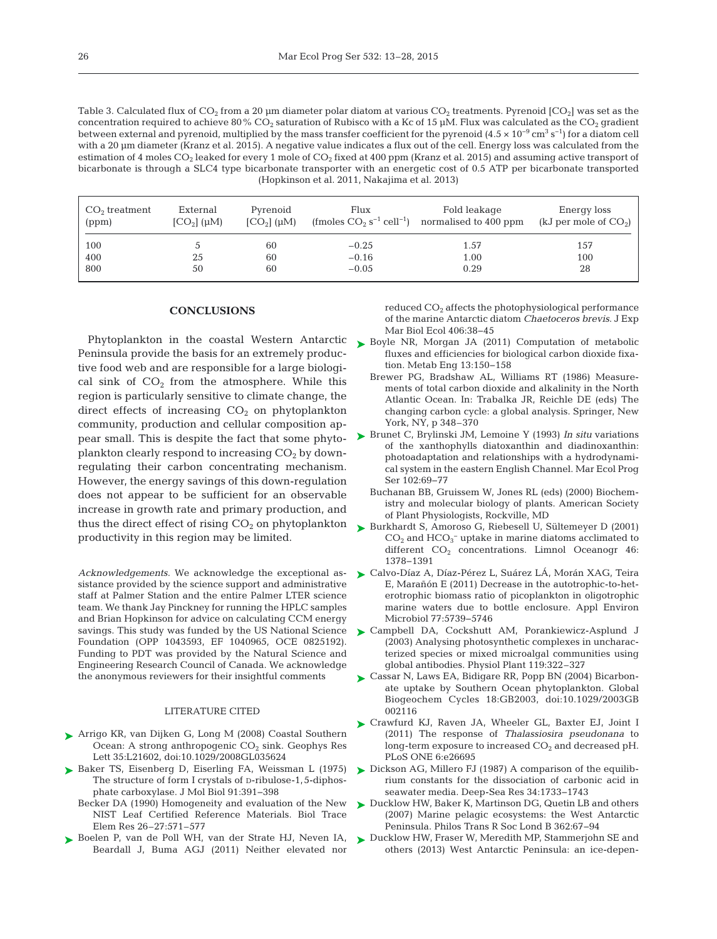Table 3. Calculated flux of  $CO_2$  from a 20 µm diameter polar diatom at various  $CO_2$  treatments. Pyrenoid  $[CO_2]$  was set as the concentration required to achieve 80% CO<sub>2</sub> saturation of Rubisco with a Kc of 15 µM. Flux was calculated as the CO<sub>2</sub> gradient between external and pyrenoid, multiplied by the mass transfer coefficient for the pyrenoid  $(4.5 \times 10^{-9} \text{ cm}^3 \text{ s}^{-1})$  for a diatom cell with a 20 µm diameter (Kranz et al. 2015). A negative value indicates a flux out of the cell. Energy loss was calculated from the estimation of 4 moles  $CO_2$  leaked for every 1 mole of  $CO_2$  fixed at 400 ppm (Kranz et al. 2015) and assuming active transport of bicarbonate is through a SLC4 type bicarbonate transporter with an energetic cost of 0.5 ATP per bicarbonate transported (Hopkinson et al. 2011, Nakajima et al. 2013)

| $CO2$ treatment<br>(ppm) | External<br>$[CO2]$ ( $\mu$ M) | Pyrenoid<br>$[CO2]$ ( $\mu$ M) | Flux<br>(fmoles $CO_2$ s <sup>-1</sup> cell <sup>-1</sup> ) | Fold leakage<br>normalised to 400 ppm | Energy loss<br>(kJ per mole of $CO2$ ) |
|--------------------------|--------------------------------|--------------------------------|-------------------------------------------------------------|---------------------------------------|----------------------------------------|
| 100                      |                                | 60                             | $-0.25$                                                     | 1.57                                  | 157                                    |
| 400                      | 25                             | 60                             | $-0.16$                                                     | 1.00                                  | 100                                    |
| 800                      | 50                             | 60                             | $-0.05$                                                     | 0.29                                  | 28                                     |

# **CONCLUSIONS**

Phytoplankton in the coastal Western Antarctic Peninsula provide the basis for an extremely productive food web and are responsible for a large biological sink of  $CO<sub>2</sub>$  from the atmosphere. While this region is particularly sensitive to climate change, the direct effects of increasing  $CO<sub>2</sub>$  on phytoplankton community, production and cellular composition appear small. This is despite the fact that some phytoplankton clearly respond to increasing  $CO<sub>2</sub>$  by downregulating their carbon concentrating mechanism. However, the energy savings of this down-regulation does not appear to be sufficient for an observable increase in growth rate and primary production, and thus the direct effect of rising  $CO<sub>2</sub>$  on phytoplankton productivity in this region may be limited.

*Acknowledgements*. We acknowledge the exceptional as sistance provided by the science support and administrative staff at Palmer Station and the entire Palmer LTER science team. We thank Jay Pinckney for running the HPLC samples and Brian Hopkinson for advice on calculating CCM energy savings. This study was funded by the US National Science Foundation (OPP 1043593, EF 1040965, OCE 0825192). Funding to PDT was provided by the Natural Science and Engineering Research Council of Canada. We acknowledge the anonymous reviewers for their insightful comments

#### LITERATURE CITED

- [Arrigo KR, van Dijken G, Long M \(2008\) Coastal Southern](http://dx.doi.org/10.1029/2008GL035624) ➤ Ocean: A strong anthropogenic  $CO<sub>2</sub>$  sink. Geophys Res Lett 35:L21602, doi:10.1029/2008GL035624
- ▶ [Baker TS, Eisenberg D, Eiserling FA, Weissman L \(1975\)](http://dx.doi.org/10.1016/0022-2836(75)90267-3) The structure of form I crystals of D-ribulose-1,5-diphosphate carboxylase. J Mol Biol 91: 391−398
	- Becker DA (1990) Homogeneity and evaluation of the New NIST Leaf Certified Reference Materials. Biol Trace Elem Res 26-27:571-577
- ▶ [Boelen P, van de Poll WH, van der Strate HJ, Neven IA,](http://dx.doi.org/10.1016/j.jembe.2011.06.012) Beardall J, Buma AGJ (2011) Neither elevated nor

reduced CO2 affects the photophysiological performance of the marine Antarctic diatom *Chaetoceros brevis*. J Exp Mar Biol Ecol 406:38-45

- ► [Boyle NR, Morgan JA \(2011\) Computation of metabolic](http://dx.doi.org/10.1016/j.ymben.2011.01.005) fluxes and efficiencies for biological carbon dioxide fixation. Metab Eng 13: 150−158
	- Brewer PG, Bradshaw AL, Williams RT (1986) Measurements of total carbon dioxide and alkalinity in the North Atlantic Ocean. In: Trabalka JR, Reichle DE (eds) The changing carbon cycle: a global analysis. Springer, New York, NY, p 348–370
- ► [Brunet C, Brylinski JM, Lemoine Y \(1993\)](http://dx.doi.org/10.3354/meps102069) *In situ* variations of the xanthophylls diatoxanthin and diadinoxanthin: photoadaptation and relationships with a hydrodynamical system in the eastern English Channel. Mar Ecol Prog Ser 102:69-77
	- Buchanan BB, Gruissem W, Jones RL (eds) (2000) Biochemistry and molecular biology of plants. American Society of Plant Physiologists, Rockville, MD
- ► [Burkhardt S, Amoroso G, Riebesell U, Sültemeyer D \(2001\)](http://dx.doi.org/10.4319/lo.2001.46.6.1378)  $CO<sub>2</sub>$  and  $HCO<sub>3</sub><sup>-</sup>$  uptake in marine diatoms acclimated to different CO<sub>2</sub> concentrations. Limnol Oceanogr 46: 1378−1391
- [Calvo-Díaz A, Díaz-Pérez L, Suárez LÁ, Morán XAG, Teira](http://dx.doi.org/10.1128/AEM.00066-11) ➤ E, Marañón E (2011) Decrease in the autotrophic-to-heterotrophic biomass ratio of picoplankton in oligotrophic marine waters due to bottle enclosure. Appl Environ Microbiol 77:5739-5746
- [Campbell DA, Cockshutt AM, Porankiewicz-Asplund J](http://dx.doi.org/10.1034/j.1399-3054.2003.00175.x) ➤ (2003) Analysing photosynthetic complexes in uncharacterized species or mixed microalgal communities using global antibodies. Physiol Plant 119:322-327
- [Cassar N, Laws EA, Bidigare RR, Popp BN \(2004\) Bicarbon-](http://dx.doi.org/10.1029/2003GB002116)➤ ate uptake by Southern Ocean phytoplankton. Global Biogeochem Cycles 18: GB2003, doi: 10.1029/2003GB 002116
- [Crawfurd KJ, Raven JA, Wheeler GL, Baxter EJ, Joint I](http://dx.doi.org/10.1371/journal.pone.0026695) ➤ (2011) The response of *Thalassiosira pseudonana* to long-term exposure to increased  $CO<sub>2</sub>$  and decreased pH. PLoS ONE 6:e26695
- ► [Dickson AG, Millero FJ \(1987\) A comparison of the equilib](http://dx.doi.org/10.1016/0198-0149(87)90021-5)rium constants for the dissociation of carbonic acid in seawater media. Deep-Sea Res 34: 1733−1743
- ► [Ducklow HW, Baker K, Martinson DG, Quetin LB and others](http://dx.doi.org/10.1098/rstb.2006.1955) (2007) Marine pelagic ecosystems: the West Antarctic Peninsula. Philos Trans R Soc Lond B 362:67-94
- ► [Ducklow HW, Fraser W, Meredith MP, Stammerjohn SE and](http://dx.doi.org/10.5670/oceanog.2013.62) others (2013) West Antarctic Peninsula: an ice-depen-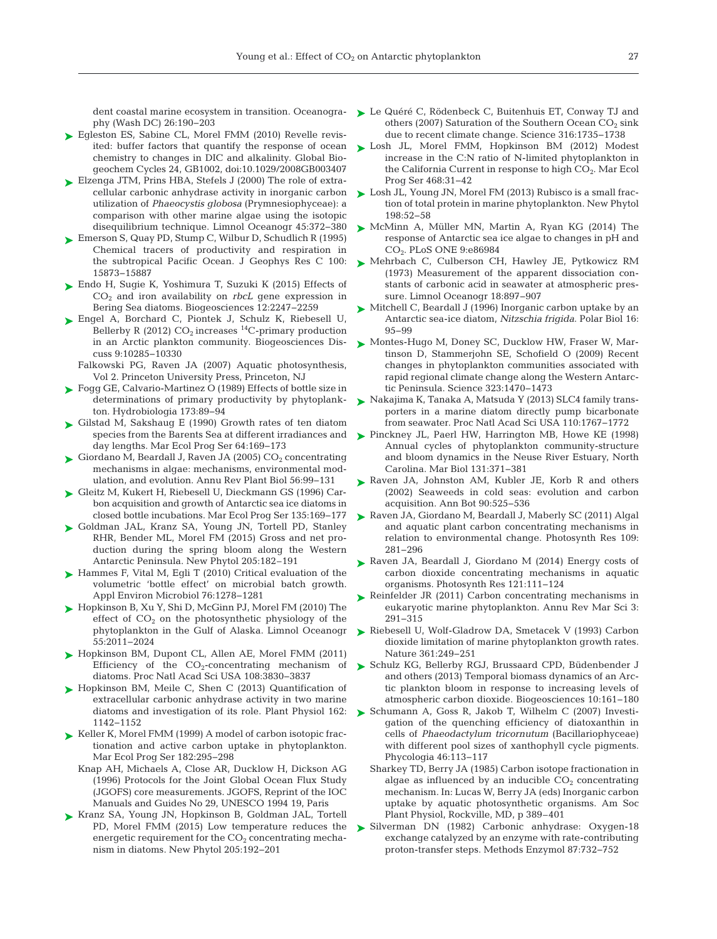dent coastal marine ecosystem in transition. Oceanography (Wash DC) 26: 190−203

- ► [Egleston ES, Sabine CL, Morel FMM \(2010\) Revelle revis](http://dx.doi.org/10.1029/2008GB003407)ited: buffer factors that quantify the response of ocean chemistry to changes in DIC and alkalinity. Global Biogeochem Cycles 24, GB1002, doi:10.1029/2008GB003407
- [Elzenga JTM, Prins HBA, Stefels J \(2000\) The role of extra-](http://dx.doi.org/10.4319/lo.2000.45.2.0372)➤ cellular carbonic anhydrase activity in inorganic carbon utilization of *Phaeocystis globosa* (Prymnesiophyceae):a comparison with other marine algae using the isotopic disequilibrium technique. Limnol Oceanogr 45: 372−380
- [Emerson S, Quay PD, Stump C, Wilbur D, Schudlich R \(1995\)](http://dx.doi.org/10.1029/95JC01333) ➤ Chemical tracers of productivity and respiration in the subtropical Pacific Ocean. J Geophys Res C 100: 15873−15887
- ► [Endo H, Sugie K, Yoshimura T, Suzuki K \(2015\) Effects of](http://dx.doi.org/10.5194/bg-12-2247-2015) CO2 and iron availability on *rbcL* gene expression in Bering Sea diatoms. Biogeosciences 12: 2247−2259
- ► [Engel A, Borchard C, Piontek J, Schulz K, Riebesell U,](http://dx.doi.org/10.1016/0198-0149(90)90106-6) Bellerby R (2012)  $CO<sub>2</sub>$  increases <sup>14</sup>C-primary production in an Arctic plankton community. Biogeosciences Discuss 9: 10285−10330
	- Falkowski PG, Raven JA (2007) Aquatic photosynthesis, Vol 2. Princeton University Press, Princeton, NJ
- [Fogg GE, Calvario-Martinez O \(1989\) Effects of bottle size in](http://dx.doi.org/10.1007/BF00015518) ➤ determinations of primary productivity by phytoplankton. Hydrobiologia 173: 89−94
- ► [Gilstad M, Sakshaug E \(1990\) Growth rates of ten diatom](http://dx.doi.org/10.3354/meps064169) species from the Barents Sea at different irradiances and day lengths. Mar Ecol Prog Ser 64: 169 −173
- $\blacktriangleright$  Giordano M, Beardall J, Raven JA (2005) CO<sub>2</sub> concentrating mechanisms in algae: mechanisms, environmental modulation, and evolution. Annu Rev Plant Biol 56:99–131
- [Gleitz M, Kukert H, Riebesell U, Dieckmann GS \(1996\) Car-](http://dx.doi.org/10.3354/meps135169)➤ bon acquisition and growth of Antarctic sea ice diatoms in closed bottle incubations. Mar Ecol Prog Ser 135: 169−177
- ► [Goldman JAL, Kranz SA, Young JN, Tortell PD, Stanley](http://dx.doi.org/10.1111/nph.13125) RHR, Bender ML, Morel FM (2015) Gross and net production during the spring bloom along the Western Antarctic Peninsula. New Phytol 205: 182–191
- ▶ [Hammes F, Vital M, Egli T \(2010\) Critical evaluation of the](http://dx.doi.org/10.1128/AEM.01914-09) volumetric 'bottle effect' on microbial batch growth. Appl Environ Microbiol 76: 1278−1281
- ► [Hopkinson B, Xu Y, Shi D, McGinn PJ, Morel FM \(2010\) The](http://dx.doi.org/10.4319/lo.2010.55.5.2011) effect of  $CO<sub>2</sub>$  on the photosynthetic physiology of the phytoplankton in the Gulf of Alaska. Limnol Oceanogr 55: 2011−2024
- ▶ [Hopkinson BM, Dupont CL, Allen AE, Morel FMM \(2011\)](http://dx.doi.org/10.1073/pnas.1018062108) Efficiency of the  $CO_2$ -concentrating mechanism of diatoms. Proc Natl Acad Sci USA 108:3830-3837
- ▶ [Hopkinson BM, Meile C, Shen C \(2013\) Quantification of](http://dx.doi.org/10.1104/pp.113.217737) extracellular carbonic anhydrase activity in two marine diatoms and investigation of its role. Plant Physiol 162: 1142−1152
- ► [Keller K, Morel FMM \(1999\) A model of carbon isotopic frac](http://dx.doi.org/10.3354/meps182295)tionation and active carbon uptake in phytoplankton. Mar Ecol Prog Ser 182:295-298
	- Knap AH, Michaels A, Close AR, Ducklow H, Dickson AG (1996) Protocols for the Joint Global Ocean Flux Study (JGOFS) core measurements. JGOFS, Reprint of the IOC Manuals and Guides No 29, UNESCO 1994 19, Paris
- [Kranz SA, Young JN, Hopkinson B, Goldman JAL, Tortell](http://www.ncbi.nlm.nih.gov/entrez/query.fcgi?cmd=Retrieve&db=PubMed&list_uids=25308897&dopt=Abstract) ➤ PD, Morel FMM (2015) Low temperature reduces the energetic requirement for the  $CO<sub>2</sub>$  concentrating mechanism in diatoms. New Phytol 205: 192−201
- ► [Le Quéré C, Rödenbeck C, Buitenhuis ET, Conway TJ and](http://dx.doi.org/10.1126/science.1136188) others (2007) Saturation of the Southern Ocean  $CO<sub>2</sub>$  sink due to recent climate change. Science 316: 1735−1738
- [Losh JL, Morel FMM, Hopkinson BM \(2012\) Modest](http://dx.doi.org/10.3354/meps09981) ➤ increase in the C:N ratio of N-limited phytoplankton in the California Current in response to high  $CO<sub>2</sub>$ . Mar Ecol Prog Ser 468:31-42
- ► [Losh JL, Young JN, Morel FM \(2013\) Rubisco is a small frac](http://dx.doi.org/10.1111/nph.12143)tion of total protein in marine phytoplankton. New Phytol 198:52−58
- ▶ [McMinn A, Müller MN, Martin A, Ryan KG \(2014\) The](http://dx.doi.org/10.1371/journal.pone.0086984) response of Antarctic sea ice algae to changes in pH and CO<sub>2</sub>. PLoS ONE 9:e86984
- [Mehrbach C, Culberson CH, Hawley JE, Pytkowicz RM](http://dx.doi.org/10.4319/lo.1973.18.6.0897) ➤ (1973) Measurement of the apparent dissociation constants of carbonic acid in seawater at atmospheric pressure. Limnol Oceanogr 18: 897−907
- [Mitchell C, Beardall J \(1996\) Inorganic carbon uptake by an](http://dx.doi.org/10.1007/BF02390429) ➤ Antarctic sea-ice diatom, *Nitzschia frigida*. Polar Biol 16: 95−99
- ► [Montes-Hugo M, Doney SC, Ducklow HW, Fraser W, Mar](http://dx.doi.org/10.1126/science.1164533)tinson D, Stammerjohn SE, Schofield O (2009) Recent changes in phytoplankton communities associated with rapid regional climate change along the Western Antarctic Peninsula. Science 323: 1470−1473
- [Nakajima K, Tanaka A, Matsuda Y \(2013\) SLC4 family trans-](http://dx.doi.org/10.1073/pnas.1216234110)➤ porters in a marine diatom directly pump bicarbonate from seawater. Proc Natl Acad Sci USA 110: 1767−1772
- ▶ [Pinckney JL, Paerl HW, Harrington MB, Howe KE \(1998\)](http://dx.doi.org/10.1007/s002270050330) Annual cycles of phytoplankton community-structure and bloom dynamics in the Neuse River Estuary, North Carolina. Mar Biol 131: 371−381
- ▶ [Raven JA, Johnston AM, Kubler JE, Korb R and others](http://dx.doi.org/10.1093/aob/mcf171) (2002) Seaweeds in cold seas: evolution and carbon acquisition. Ann Bot 90:525-536
- ▶ [Raven JA, Giordano M, Beardall J, Maberly SC \(2011\) Algal](http://www.ncbi.nlm.nih.gov/entrez/query.fcgi?cmd=Retrieve&db=PubMed&list_uids=21327536&dopt=Abstract) and aquatic plant carbon concentrating mechanisms in relation to environmental change. Photosynth Res 109: 281−296
- ▶ [Raven JA, Beardall J, Giordano M \(2014\) Energy costs of](http://dx.doi.org/10.1007/s11120-013-9962-7) carbon dioxide concentrating mechanisms in aquatic organisms. Photosynth Res 121: 111−124
- ▶ [Reinfelder JR \(2011\) Carbon concentrating mechanisms in](http://dx.doi.org/10.1146/annurev-marine-120709-142720) eukaryotic marine phytoplankton. Annu Rev Mar Sci 3: 291−315
- ▶ [Riebesell U, Wolf-Gladrow DA, Smetacek V \(1993\) Carbon](http://dx.doi.org/10.1038/361249a0) dioxide limitation of marine phytoplankton growth rates. Nature 361:249-251
- ▶ [Schulz KG, Bellerby RGJ, Brussaard CPD, Büdenbender J](http://dx.doi.org/10.5194/bg-10-161-2013) and others (2013) Temporal biomass dynamics of an Arctic plankton bloom in response to increasing levels of atmospheric carbon dioxide. Biogeosciences 10: 161−180
- ▶ Schumann A, Goss R, Jakob T, Wilhelm C (2007) Investigation of the quenching efficiency of diatoxanthin in cells of *Phaeodactylum tricornutum* (Bacillariophyceae) with different pool sizes of xanthophyll cycle pigments. Phycologia 46: 113−117
	- Sharkey TD, Berry JA (1985) Carbon isotope fractionation in algae as influenced by an inducible  $CO<sub>2</sub>$  concentrating mechanism. In:Lucas W, Berry JA (eds) Inorganic carbon uptake by aquatic photosynthetic organisms. Am Soc Plant Physiol, Rockville, MD, p 389–401
- [Silverman DN \(1982\) Carbonic anhydrase: Oxygen-18](http://dx.doi.org/10.1016/S0076-6879(82)87037-7) ➤ exchange catalyzed by an enzyme with rate-contributing proton-transfer steps. Methods Enzymol 87:732-752